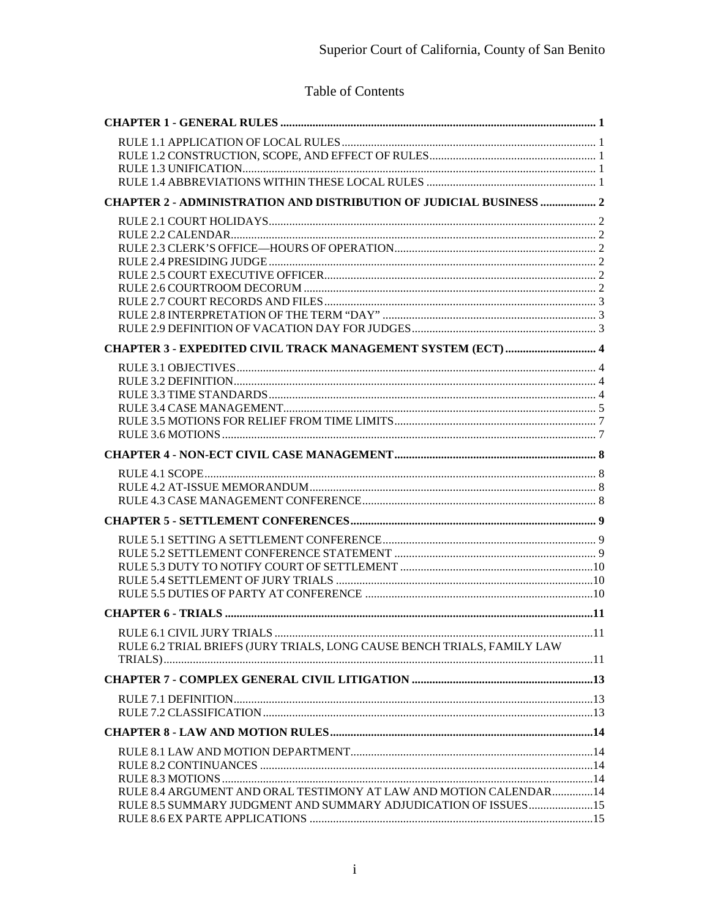# Table of Contents

| RULE 6.1 CIVIL JURY TRIALS<br>11                                                                                                     |  |
|--------------------------------------------------------------------------------------------------------------------------------------|--|
| RULE 6.2 TRIAL BRIEFS (JURY TRIALS, LONG CAUSE BENCH TRIALS, FAMILY LAW                                                              |  |
|                                                                                                                                      |  |
|                                                                                                                                      |  |
|                                                                                                                                      |  |
|                                                                                                                                      |  |
|                                                                                                                                      |  |
|                                                                                                                                      |  |
|                                                                                                                                      |  |
|                                                                                                                                      |  |
| RULE 8.4 ARGUMENT AND ORAL TESTIMONY AT LAW AND MOTION CALENDAR14<br>RULE 8.5 SUMMARY JUDGMENT AND SUMMARY ADJUDICATION OF ISSUES 15 |  |
|                                                                                                                                      |  |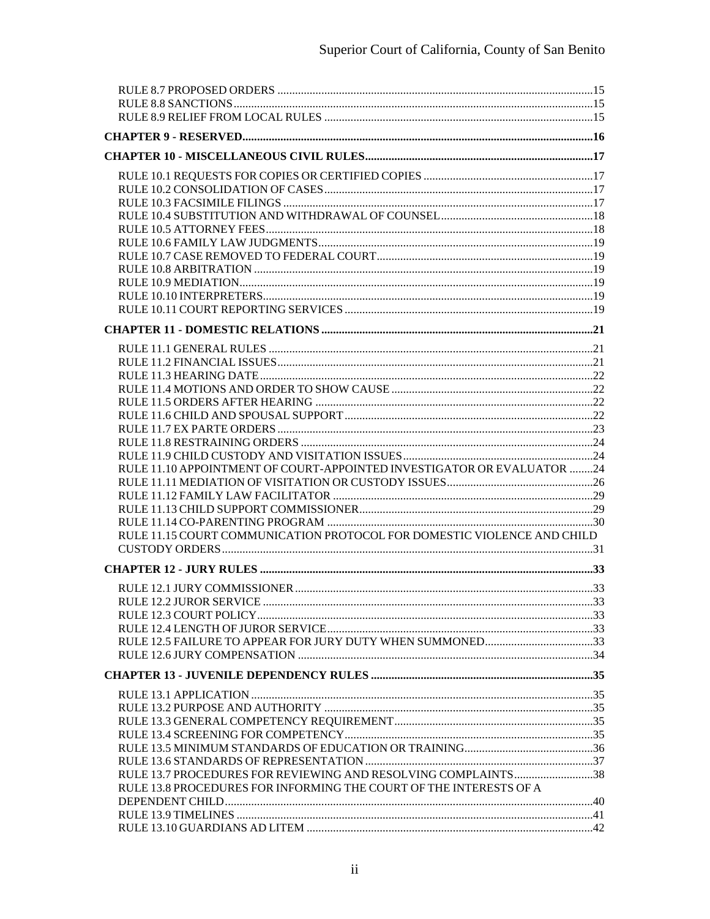| RULE 11.10 APPOINTMENT OF COURT-APPOINTED INVESTIGATOR OR EVALUATOR 24  |  |
|-------------------------------------------------------------------------|--|
|                                                                         |  |
|                                                                         |  |
|                                                                         |  |
|                                                                         |  |
| RULE 11.15 COURT COMMUNICATION PROTOCOL FOR DOMESTIC VIOLENCE AND CHILD |  |
|                                                                         |  |
|                                                                         |  |
|                                                                         |  |
|                                                                         |  |
|                                                                         |  |
|                                                                         |  |
|                                                                         |  |
|                                                                         |  |
|                                                                         |  |
|                                                                         |  |
|                                                                         |  |
|                                                                         |  |
|                                                                         |  |
|                                                                         |  |
| RULE 13.7 PROCEDURES FOR REVIEWING AND RESOLVING COMPLAINTS38           |  |
| RULE 13.8 PROCEDURES FOR INFORMING THE COURT OF THE INTERESTS OF A      |  |
|                                                                         |  |
|                                                                         |  |
|                                                                         |  |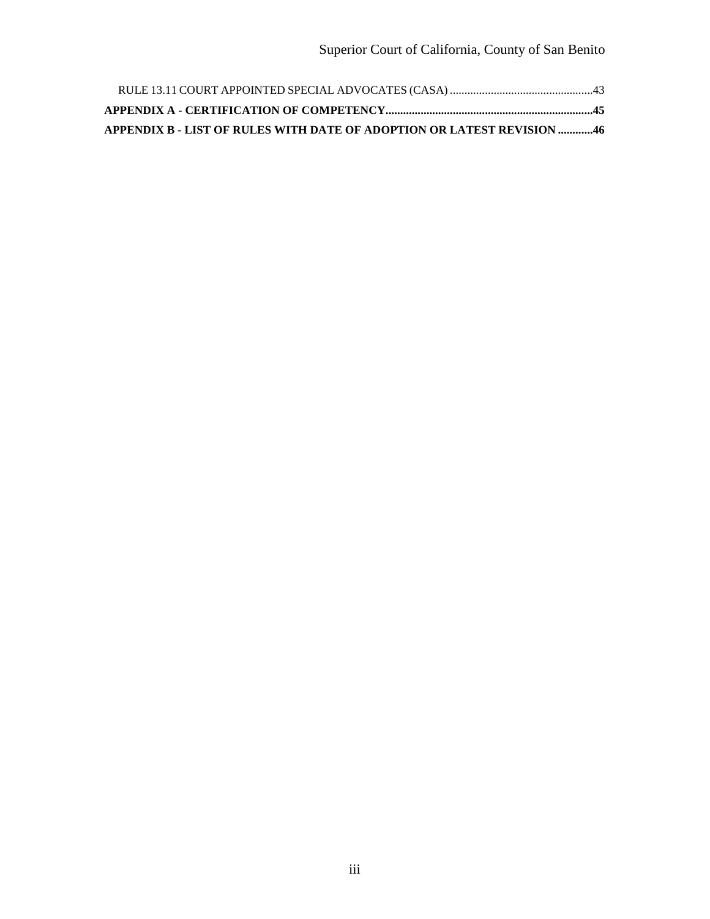| <b>APPENDIX B - LIST OF RULES WITH DATE OF ADOPTION OR LATEST REVISION 46</b> |
|-------------------------------------------------------------------------------|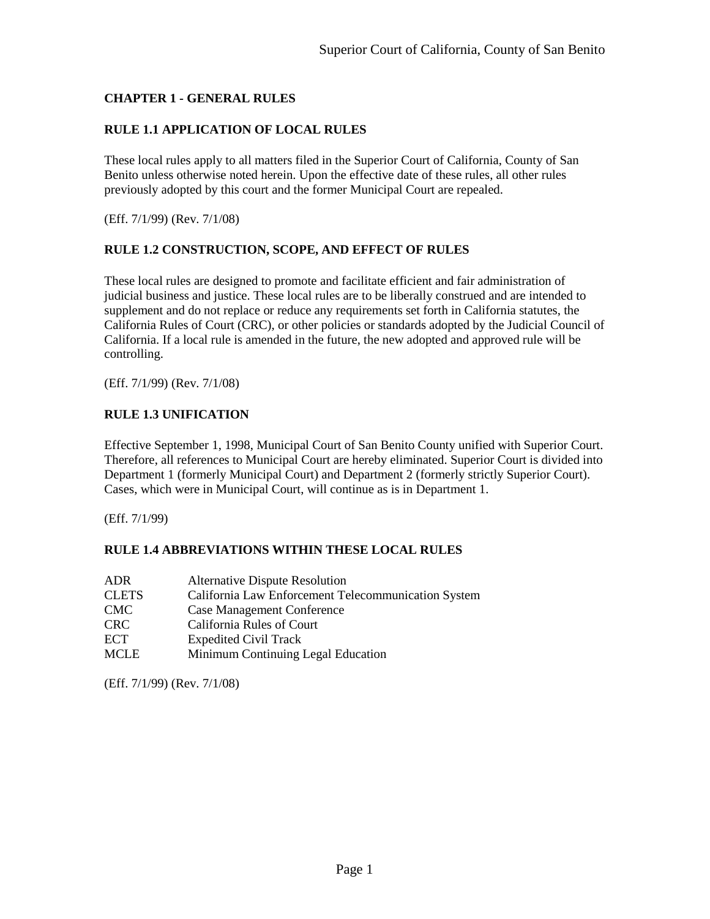## <span id="page-3-0"></span>**CHAPTER 1 - GENERAL RULES**

## <span id="page-3-1"></span>**RULE 1.1 APPLICATION OF LOCAL RULES**

These local rules apply to all matters filed in the Superior Court of California, County of San Benito unless otherwise noted herein. Upon the effective date of these rules, all other rules previously adopted by this court and the former Municipal Court are repealed.

<span id="page-3-2"></span>(Eff. 7/1/99) (Rev. 7/1/08)

#### **RULE 1.2 CONSTRUCTION, SCOPE, AND EFFECT OF RULES**

These local rules are designed to promote and facilitate efficient and fair administration of judicial business and justice. These local rules are to be liberally construed and are intended to supplement and do not replace or reduce any requirements set forth in California statutes, the California Rules of Court (CRC), or other policies or standards adopted by the Judicial Council of California. If a local rule is amended in the future, the new adopted and approved rule will be controlling.

<span id="page-3-3"></span>(Eff. 7/1/99) (Rev. 7/1/08)

#### **RULE 1.3 UNIFICATION**

Effective September 1, 1998, Municipal Court of San Benito County unified with Superior Court. Therefore, all references to Municipal Court are hereby eliminated. Superior Court is divided into Department 1 (formerly Municipal Court) and Department 2 (formerly strictly Superior Court). Cases, which were in Municipal Court, will continue as is in Department 1.

<span id="page-3-4"></span>(Eff. 7/1/99)

#### **RULE 1.4 ABBREVIATIONS WITHIN THESE LOCAL RULES**

| <b>ADR</b>   | <b>Alternative Dispute Resolution</b>               |
|--------------|-----------------------------------------------------|
| <b>CLETS</b> | California Law Enforcement Telecommunication System |
| <b>CMC</b>   | <b>Case Management Conference</b>                   |
| <b>CRC</b>   | California Rules of Court                           |
| <b>ECT</b>   | <b>Expedited Civil Track</b>                        |
| <b>MCLE</b>  | Minimum Continuing Legal Education                  |

(Eff. 7/1/99) (Rev. 7/1/08)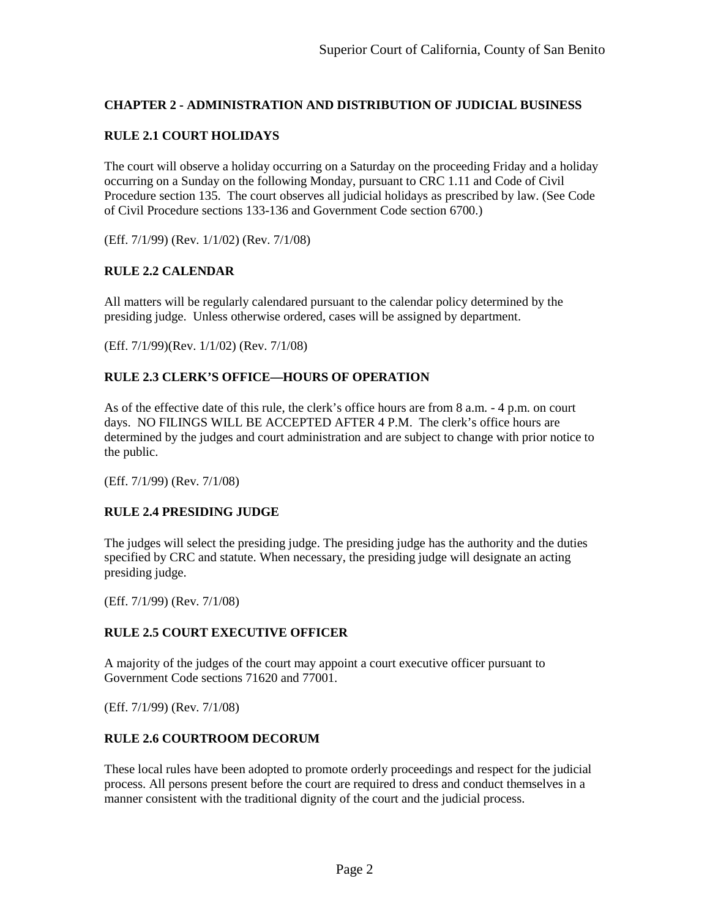## <span id="page-4-0"></span>**CHAPTER 2 - ADMINISTRATION AND DISTRIBUTION OF JUDICIAL BUSINESS**

## <span id="page-4-1"></span>**RULE 2.1 COURT HOLIDAYS**

The court will observe a holiday occurring on a Saturday on the proceeding Friday and a holiday occurring on a Sunday on the following Monday, pursuant to CRC 1.11 and Code of Civil Procedure section 135. The court observes all judicial holidays as prescribed by law. (See Code of Civil Procedure sections 133-136 and Government Code section 6700.)

<span id="page-4-2"></span>(Eff. 7/1/99) (Rev. 1/1/02) (Rev. 7/1/08)

## **RULE 2.2 CALENDAR**

All matters will be regularly calendared pursuant to the calendar policy determined by the presiding judge. Unless otherwise ordered, cases will be assigned by department.

<span id="page-4-3"></span>(Eff. 7/1/99)(Rev. 1/1/02) (Rev. 7/1/08)

## **RULE 2.3 CLERK'S OFFICE—HOURS OF OPERATION**

As of the effective date of this rule, the clerk's office hours are from 8 a.m. - 4 p.m. on court days. NO FILINGS WILL BE ACCEPTED AFTER 4 P.M. The clerk's office hours are determined by the judges and court administration and are subject to change with prior notice to the public.

<span id="page-4-4"></span>(Eff. 7/1/99) (Rev. 7/1/08)

## **RULE 2.4 PRESIDING JUDGE**

The judges will select the presiding judge. The presiding judge has the authority and the duties specified by CRC and statute. When necessary, the presiding judge will designate an acting presiding judge.

<span id="page-4-5"></span>(Eff. 7/1/99) (Rev. 7/1/08)

## **RULE 2.5 COURT EXECUTIVE OFFICER**

A majority of the judges of the court may appoint a court executive officer pursuant to Government Code sections 71620 and 77001.

<span id="page-4-6"></span>(Eff. 7/1/99) (Rev. 7/1/08)

## **RULE 2.6 COURTROOM DECORUM**

These local rules have been adopted to promote orderly proceedings and respect for the judicial process. All persons present before the court are required to dress and conduct themselves in a manner consistent with the traditional dignity of the court and the judicial process.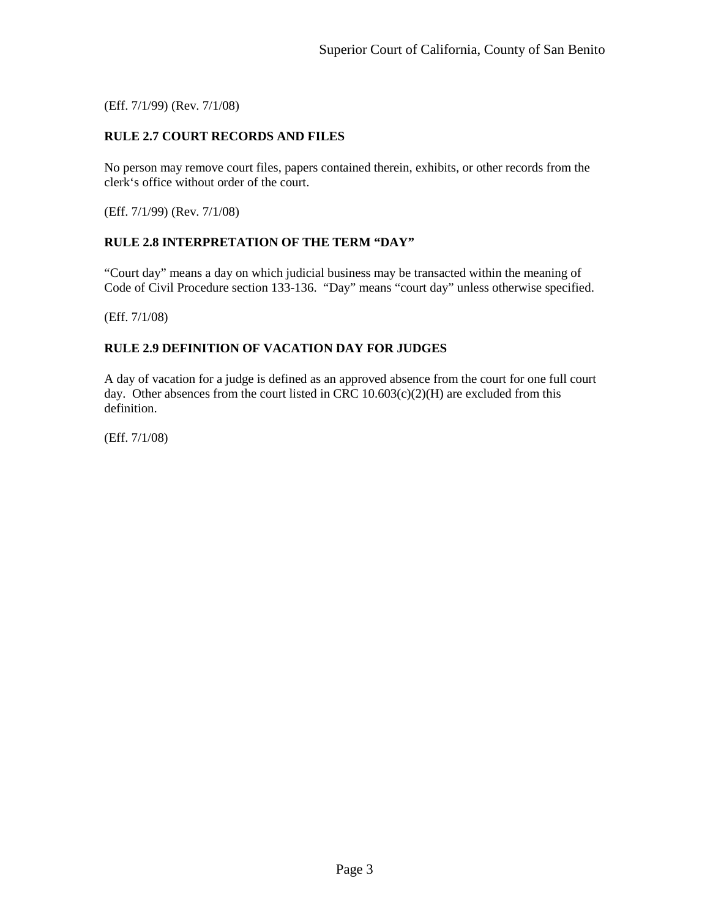<span id="page-5-0"></span>(Eff. 7/1/99) (Rev. 7/1/08)

## **RULE 2.7 COURT RECORDS AND FILES**

No person may remove court files, papers contained therein, exhibits, or other records from the clerk's office without order of the court.

<span id="page-5-1"></span>(Eff. 7/1/99) (Rev. 7/1/08)

#### **RULE 2.8 INTERPRETATION OF THE TERM "DAY"**

"Court day" means a day on which judicial business may be transacted within the meaning of Code of Civil Procedure section 133-136. "Day" means "court day" unless otherwise specified.

<span id="page-5-2"></span>(Eff. 7/1/08)

## **RULE 2.9 DEFINITION OF VACATION DAY FOR JUDGES**

A day of vacation for a judge is defined as an approved absence from the court for one full court day. Other absences from the court listed in CRC  $10.603(c)(2)(H)$  are excluded from this definition.

(Eff. 7/1/08)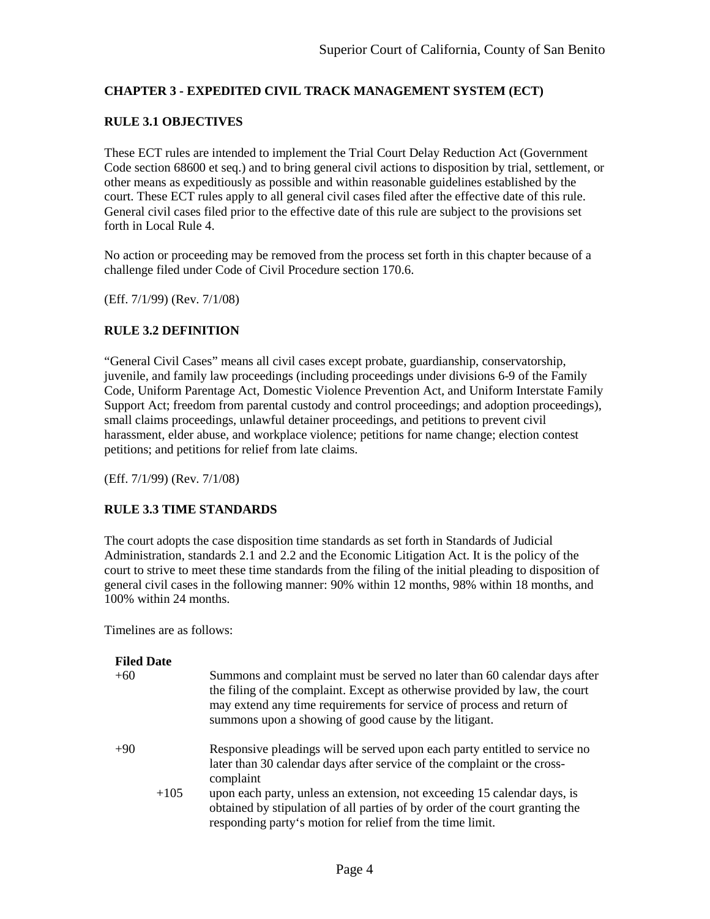## <span id="page-6-1"></span><span id="page-6-0"></span>**CHAPTER 3 - EXPEDITED CIVIL TRACK MANAGEMENT SYSTEM (ECT)**

## **RULE 3.1 OBJECTIVES**

These ECT rules are intended to implement the Trial Court Delay Reduction Act (Government Code section 68600 et seq.) and to bring general civil actions to disposition by trial, settlement, or other means as expeditiously as possible and within reasonable guidelines established by the court. These ECT rules apply to all general civil cases filed after the effective date of this rule. General civil cases filed prior to the effective date of this rule are subject to the provisions set forth in Local Rule 4.

No action or proceeding may be removed from the process set forth in this chapter because of a challenge filed under Code of Civil Procedure section 170.6.

<span id="page-6-2"></span>(Eff. 7/1/99) (Rev. 7/1/08)

## **RULE 3.2 DEFINITION**

"General Civil Cases" means all civil cases except probate, guardianship, conservatorship, juvenile, and family law proceedings (including proceedings under divisions 6-9 of the Family Code, Uniform Parentage Act, Domestic Violence Prevention Act, and Uniform Interstate Family Support Act; freedom from parental custody and control proceedings; and adoption proceedings), small claims proceedings, unlawful detainer proceedings, and petitions to prevent civil harassment, elder abuse, and workplace violence; petitions for name change; election contest petitions; and petitions for relief from late claims.

<span id="page-6-3"></span>(Eff. 7/1/99) (Rev. 7/1/08)

## **RULE 3.3 TIME STANDARDS**

The court adopts the case disposition time standards as set forth in Standards of Judicial Administration, standards 2.1 and 2.2 and the Economic Litigation Act. It is the policy of the court to strive to meet these time standards from the filing of the initial pleading to disposition of general civil cases in the following manner: 90% within 12 months, 98% within 18 months, and 100% within 24 months.

Timelines are as follows:

| <b>Filed Date</b><br>$+60$ | Summons and complaint must be served no later than 60 calendar days after<br>the filing of the complaint. Except as otherwise provided by law, the court<br>may extend any time requirements for service of process and return of<br>summons upon a showing of good cause by the litigant.                                                                                                   |
|----------------------------|----------------------------------------------------------------------------------------------------------------------------------------------------------------------------------------------------------------------------------------------------------------------------------------------------------------------------------------------------------------------------------------------|
| $+90$<br>$+105$            | Responsive pleadings will be served upon each party entitled to service no<br>later than 30 calendar days after service of the complaint or the cross-<br>complaint<br>upon each party, unless an extension, not exceeding 15 calendar days, is<br>obtained by stipulation of all parties of by order of the court granting the<br>responding party's motion for relief from the time limit. |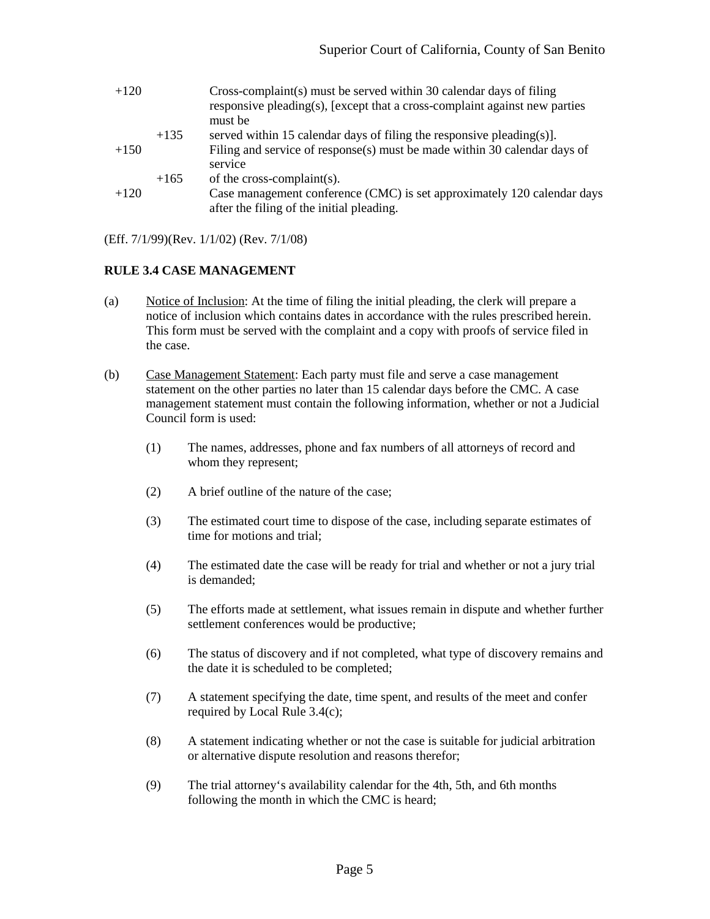| $+120$ |        | Cross-complaint(s) must be served within 30 calendar days of filing<br>responsive pleading(s), [except that a cross-complaint against new parties<br>must be |
|--------|--------|--------------------------------------------------------------------------------------------------------------------------------------------------------------|
|        | $+135$ | served within 15 calendar days of filing the responsive pleading(s)].                                                                                        |
| $+150$ |        | Filing and service of response(s) must be made within 30 calendar days of<br>service                                                                         |
|        | $+165$ | of the cross-complaint(s).                                                                                                                                   |
| $+120$ |        | Case management conference (CMC) is set approximately 120 calendar days<br>after the filing of the initial pleading.                                         |

(Eff. 7/1/99)(Rev. 1/1/02) (Rev. 7/1/08)

#### <span id="page-7-0"></span>**RULE 3.4 CASE MANAGEMENT**

- (a) Notice of Inclusion: At the time of filing the initial pleading, the clerk will prepare a notice of inclusion which contains dates in accordance with the rules prescribed herein. This form must be served with the complaint and a copy with proofs of service filed in the case.
- (b) Case Management Statement: Each party must file and serve a case management statement on the other parties no later than 15 calendar days before the CMC. A case management statement must contain the following information, whether or not a Judicial Council form is used:
	- (1) The names, addresses, phone and fax numbers of all attorneys of record and whom they represent;
	- (2) A brief outline of the nature of the case;
	- (3) The estimated court time to dispose of the case, including separate estimates of time for motions and trial;
	- (4) The estimated date the case will be ready for trial and whether or not a jury trial is demanded;
	- (5) The efforts made at settlement, what issues remain in dispute and whether further settlement conferences would be productive;
	- (6) The status of discovery and if not completed, what type of discovery remains and the date it is scheduled to be completed;
	- (7) A statement specifying the date, time spent, and results of the meet and confer required by Local Rule 3.4(c);
	- (8) A statement indicating whether or not the case is suitable for judicial arbitration or alternative dispute resolution and reasons therefor;
	- (9) The trial attorney's availability calendar for the 4th, 5th, and 6th months following the month in which the CMC is heard;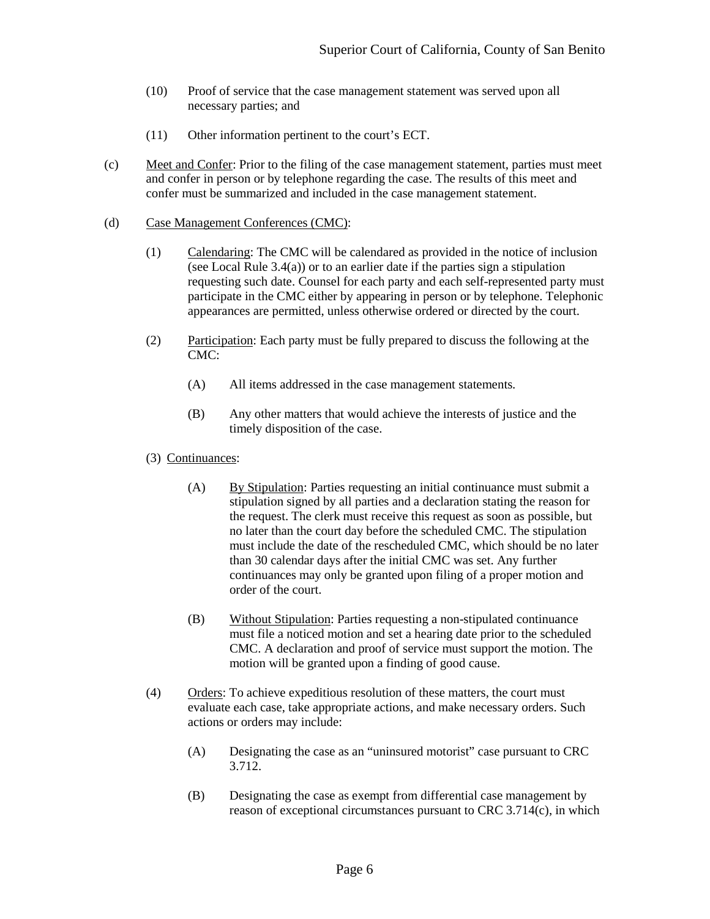- (10) Proof of service that the case management statement was served upon all necessary parties; and
- (11) Other information pertinent to the court's ECT.
- (c) Meet and Confer: Prior to the filing of the case management statement, parties must meet and confer in person or by telephone regarding the case. The results of this meet and confer must be summarized and included in the case management statement.
- (d) Case Management Conferences (CMC):
	- (1) Calendaring: The CMC will be calendared as provided in the notice of inclusion (see Local Rule 3.4(a)) or to an earlier date if the parties sign a stipulation requesting such date. Counsel for each party and each self-represented party must participate in the CMC either by appearing in person or by telephone. Telephonic appearances are permitted, unless otherwise ordered or directed by the court.
	- (2) Participation: Each party must be fully prepared to discuss the following at the CMC:
		- (A) All items addressed in the case management statements.
		- (B) Any other matters that would achieve the interests of justice and the timely disposition of the case.
	- (3) Continuances:
		- (A) By Stipulation: Parties requesting an initial continuance must submit a stipulation signed by all parties and a declaration stating the reason for the request. The clerk must receive this request as soon as possible, but no later than the court day before the scheduled CMC. The stipulation must include the date of the rescheduled CMC, which should be no later than 30 calendar days after the initial CMC was set. Any further continuances may only be granted upon filing of a proper motion and order of the court.
		- (B) Without Stipulation: Parties requesting a non-stipulated continuance must file a noticed motion and set a hearing date prior to the scheduled CMC. A declaration and proof of service must support the motion. The motion will be granted upon a finding of good cause.
	- (4) Orders: To achieve expeditious resolution of these matters, the court must evaluate each case, take appropriate actions, and make necessary orders. Such actions or orders may include:
		- (A) Designating the case as an "uninsured motorist" case pursuant to CRC 3.712.
		- (B) Designating the case as exempt from differential case management by reason of exceptional circumstances pursuant to CRC 3.714(c), in which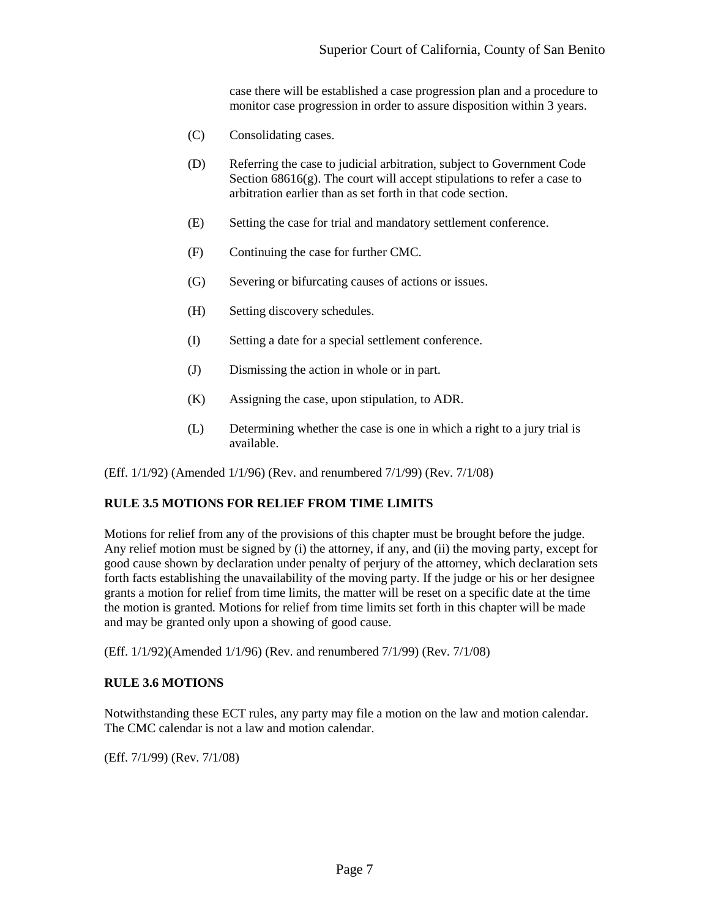case there will be established a case progression plan and a procedure to monitor case progression in order to assure disposition within 3 years.

- (C) Consolidating cases.
- (D) Referring the case to judicial arbitration, subject to Government Code Section  $68616(g)$ . The court will accept stipulations to refer a case to arbitration earlier than as set forth in that code section.
- (E) Setting the case for trial and mandatory settlement conference.
- (F) Continuing the case for further CMC.
- (G) Severing or bifurcating causes of actions or issues.
- (H) Setting discovery schedules.
- (I) Setting a date for a special settlement conference.
- (J) Dismissing the action in whole or in part.
- (K) Assigning the case, upon stipulation, to ADR.
- (L) Determining whether the case is one in which a right to a jury trial is available.

<span id="page-9-0"></span>(Eff. 1/1/92) (Amended 1/1/96) (Rev. and renumbered 7/1/99) (Rev. 7/1/08)

## **RULE 3.5 MOTIONS FOR RELIEF FROM TIME LIMITS**

Motions for relief from any of the provisions of this chapter must be brought before the judge. Any relief motion must be signed by (i) the attorney, if any, and (ii) the moving party, except for good cause shown by declaration under penalty of perjury of the attorney, which declaration sets forth facts establishing the unavailability of the moving party. If the judge or his or her designee grants a motion for relief from time limits, the matter will be reset on a specific date at the time the motion is granted. Motions for relief from time limits set forth in this chapter will be made and may be granted only upon a showing of good cause.

<span id="page-9-1"></span>(Eff. 1/1/92)(Amended 1/1/96) (Rev. and renumbered 7/1/99) (Rev. 7/1/08)

#### **RULE 3.6 MOTIONS**

Notwithstanding these ECT rules, any party may file a motion on the law and motion calendar. The CMC calendar is not a law and motion calendar.

(Eff. 7/1/99) (Rev. 7/1/08)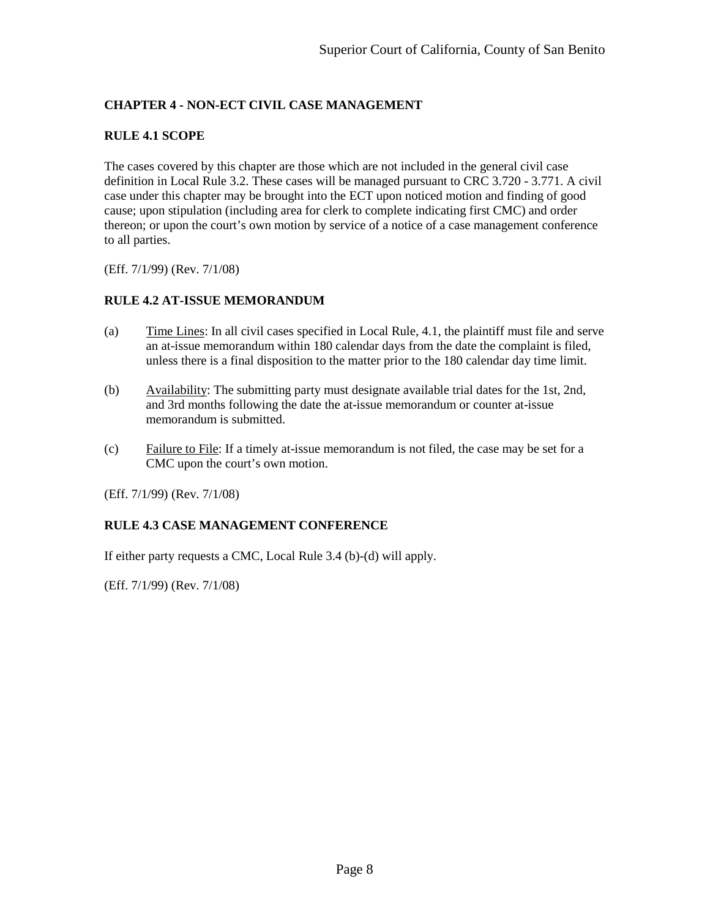# <span id="page-10-0"></span>**CHAPTER 4 - NON-ECT CIVIL CASE MANAGEMENT**

## <span id="page-10-1"></span>**RULE 4.1 SCOPE**

The cases covered by this chapter are those which are not included in the general civil case definition in Local Rule 3.2. These cases will be managed pursuant to CRC 3.720 - 3.771. A civil case under this chapter may be brought into the ECT upon noticed motion and finding of good cause; upon stipulation (including area for clerk to complete indicating first CMC) and order thereon; or upon the court's own motion by service of a notice of a case management conference to all parties.

<span id="page-10-2"></span>(Eff. 7/1/99) (Rev. 7/1/08)

## **RULE 4.2 AT-ISSUE MEMORANDUM**

- (a) Time Lines: In all civil cases specified in Local Rule, 4.1, the plaintiff must file and serve an at-issue memorandum within 180 calendar days from the date the complaint is filed, unless there is a final disposition to the matter prior to the 180 calendar day time limit.
- (b) Availability: The submitting party must designate available trial dates for the 1st, 2nd, and 3rd months following the date the at-issue memorandum or counter at-issue memorandum is submitted.
- (c) Failure to File: If a timely at-issue memorandum is not filed, the case may be set for a CMC upon the court's own motion.

(Eff. 7/1/99) (Rev. 7/1/08)

## <span id="page-10-3"></span>**RULE 4.3 CASE MANAGEMENT CONFERENCE**

If either party requests a CMC, Local Rule 3.4 (b)-(d) will apply.

(Eff. 7/1/99) (Rev. 7/1/08)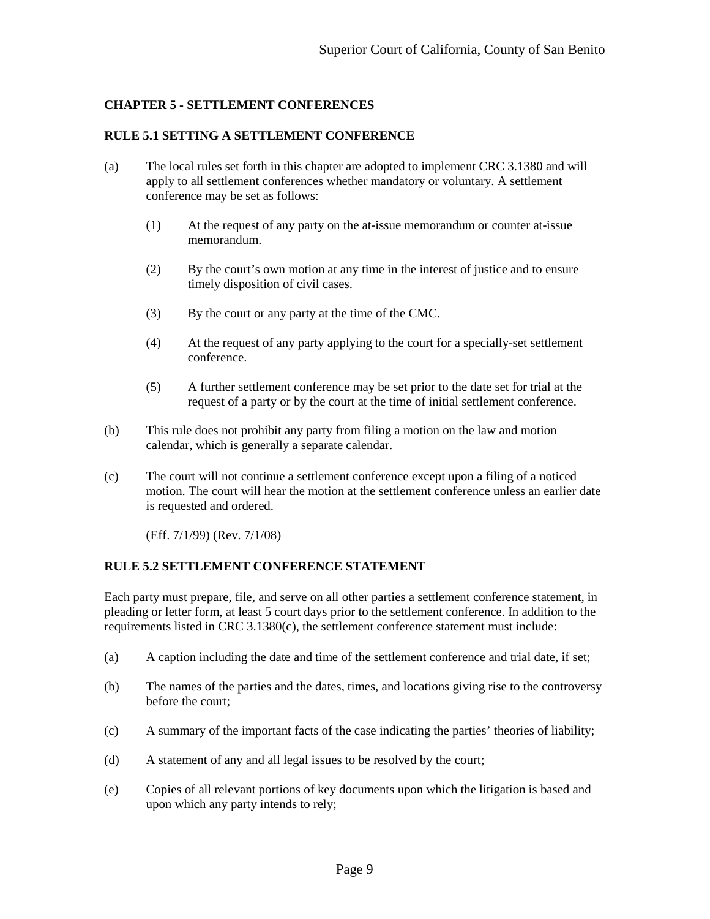## <span id="page-11-0"></span>**CHAPTER 5 - SETTLEMENT CONFERENCES**

#### <span id="page-11-1"></span>**RULE 5.1 SETTING A SETTLEMENT CONFERENCE**

- (a) The local rules set forth in this chapter are adopted to implement CRC 3.1380 and will apply to all settlement conferences whether mandatory or voluntary. A settlement conference may be set as follows:
	- (1) At the request of any party on the at-issue memorandum or counter at-issue memorandum.
	- (2) By the court's own motion at any time in the interest of justice and to ensure timely disposition of civil cases.
	- (3) By the court or any party at the time of the CMC.
	- (4) At the request of any party applying to the court for a specially-set settlement conference.
	- (5) A further settlement conference may be set prior to the date set for trial at the request of a party or by the court at the time of initial settlement conference.
- (b) This rule does not prohibit any party from filing a motion on the law and motion calendar, which is generally a separate calendar.
- (c) The court will not continue a settlement conference except upon a filing of a noticed motion. The court will hear the motion at the settlement conference unless an earlier date is requested and ordered.

(Eff. 7/1/99) (Rev. 7/1/08)

#### <span id="page-11-2"></span>**RULE 5.2 SETTLEMENT CONFERENCE STATEMENT**

Each party must prepare, file, and serve on all other parties a settlement conference statement, in pleading or letter form, at least 5 court days prior to the settlement conference. In addition to the requirements listed in CRC 3.1380(c), the settlement conference statement must include:

- (a) A caption including the date and time of the settlement conference and trial date, if set;
- (b) The names of the parties and the dates, times, and locations giving rise to the controversy before the court;
- (c) A summary of the important facts of the case indicating the parties' theories of liability;
- (d) A statement of any and all legal issues to be resolved by the court;
- (e) Copies of all relevant portions of key documents upon which the litigation is based and upon which any party intends to rely;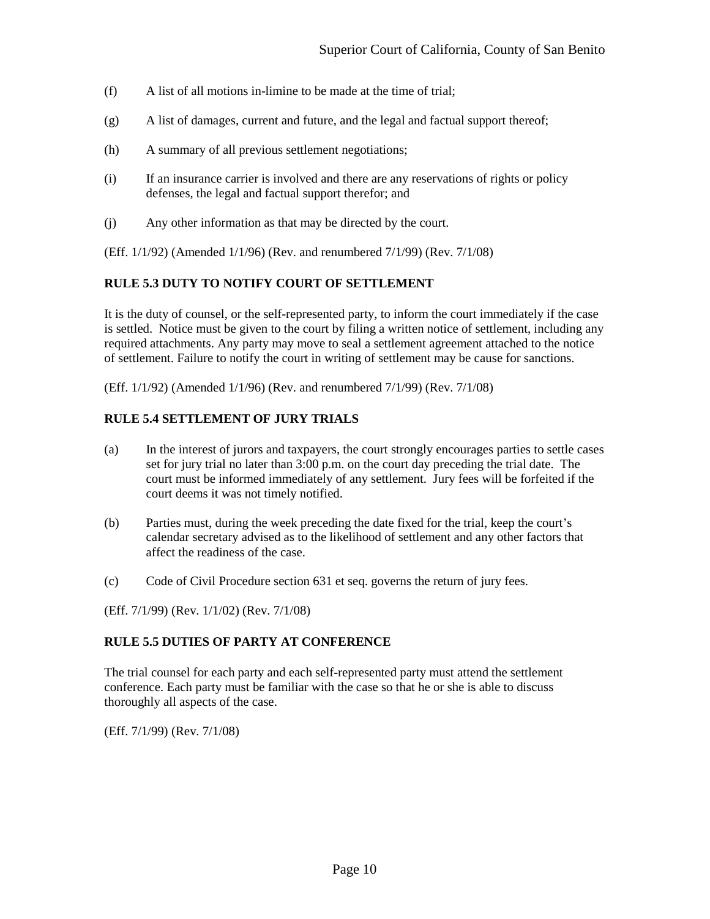- (f) A list of all motions in-limine to be made at the time of trial;
- (g) A list of damages, current and future, and the legal and factual support thereof;
- (h) A summary of all previous settlement negotiations;
- (i) If an insurance carrier is involved and there are any reservations of rights or policy defenses, the legal and factual support therefor; and
- (j) Any other information as that may be directed by the court.

<span id="page-12-0"></span>(Eff. 1/1/92) (Amended 1/1/96) (Rev. and renumbered 7/1/99) (Rev. 7/1/08)

## **RULE 5.3 DUTY TO NOTIFY COURT OF SETTLEMENT**

It is the duty of counsel, or the self-represented party, to inform the court immediately if the case is settled. Notice must be given to the court by filing a written notice of settlement, including any required attachments. Any party may move to seal a settlement agreement attached to the notice of settlement. Failure to notify the court in writing of settlement may be cause for sanctions.

<span id="page-12-1"></span>(Eff. 1/1/92) (Amended 1/1/96) (Rev. and renumbered 7/1/99) (Rev. 7/1/08)

#### **RULE 5.4 SETTLEMENT OF JURY TRIALS**

- (a) In the interest of jurors and taxpayers, the court strongly encourages parties to settle cases set for jury trial no later than 3:00 p.m. on the court day preceding the trial date. The court must be informed immediately of any settlement. Jury fees will be forfeited if the court deems it was not timely notified.
- (b) Parties must, during the week preceding the date fixed for the trial, keep the court's calendar secretary advised as to the likelihood of settlement and any other factors that affect the readiness of the case.
- (c) Code of Civil Procedure section 631 et seq. governs the return of jury fees.

<span id="page-12-2"></span>(Eff. 7/1/99) (Rev. 1/1/02) (Rev. 7/1/08)

## **RULE 5.5 DUTIES OF PARTY AT CONFERENCE**

The trial counsel for each party and each self-represented party must attend the settlement conference. Each party must be familiar with the case so that he or she is able to discuss thoroughly all aspects of the case.

(Eff. 7/1/99) (Rev. 7/1/08)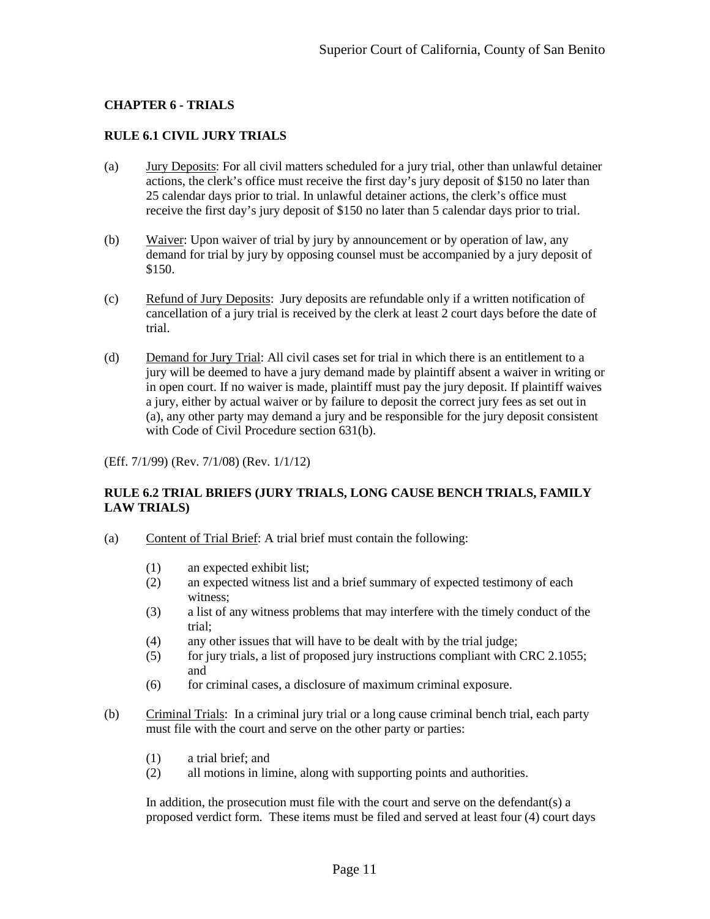## <span id="page-13-0"></span>**CHAPTER 6 - TRIALS**

#### <span id="page-13-1"></span>**RULE 6.1 CIVIL JURY TRIALS**

- (a) Jury Deposits: For all civil matters scheduled for a jury trial, other than unlawful detainer actions, the clerk's office must receive the first day's jury deposit of \$150 no later than 25 calendar days prior to trial. In unlawful detainer actions, the clerk's office must receive the first day's jury deposit of \$150 no later than 5 calendar days prior to trial.
- (b) Waiver: Upon waiver of trial by jury by announcement or by operation of law, any demand for trial by jury by opposing counsel must be accompanied by a jury deposit of \$150.
- (c) Refund of Jury Deposits: Jury deposits are refundable only if a written notification of cancellation of a jury trial is received by the clerk at least 2 court days before the date of trial.
- (d) Demand for Jury Trial: All civil cases set for trial in which there is an entitlement to a jury will be deemed to have a jury demand made by plaintiff absent a waiver in writing or in open court. If no waiver is made, plaintiff must pay the jury deposit. If plaintiff waives a jury, either by actual waiver or by failure to deposit the correct jury fees as set out in (a), any other party may demand a jury and be responsible for the jury deposit consistent with Code of Civil Procedure section 631(b).

(Eff. 7/1/99) (Rev. 7/1/08) (Rev. 1/1/12)

## <span id="page-13-2"></span>**RULE 6.2 TRIAL BRIEFS (JURY TRIALS, LONG CAUSE BENCH TRIALS, FAMILY LAW TRIALS)**

- (a) Content of Trial Brief: A trial brief must contain the following:
	- (1) an expected exhibit list;
	- (2) an expected witness list and a brief summary of expected testimony of each witness;
	- (3) a list of any witness problems that may interfere with the timely conduct of the trial;
	- (4) any other issues that will have to be dealt with by the trial judge;
	- (5) for jury trials, a list of proposed jury instructions compliant with CRC 2.1055; and
	- (6) for criminal cases, a disclosure of maximum criminal exposure.
- (b) Criminal Trials: In a criminal jury trial or a long cause criminal bench trial, each party must file with the court and serve on the other party or parties:
	- (1) a trial brief; and
	- (2) all motions in limine, along with supporting points and authorities.

In addition, the prosecution must file with the court and serve on the defendant(s) a proposed verdict form. These items must be filed and served at least four (4) court days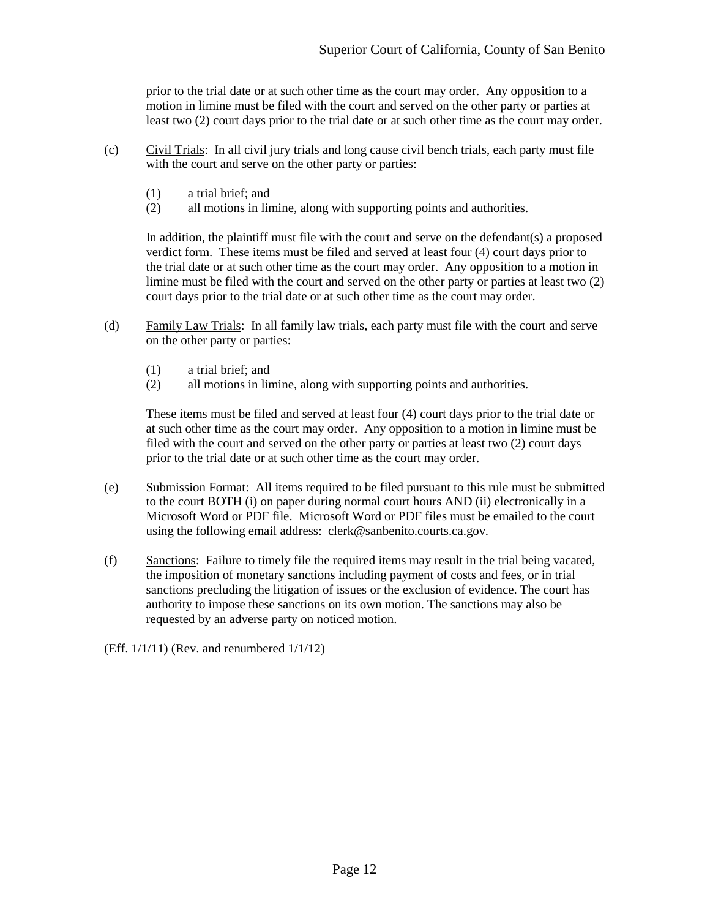prior to the trial date or at such other time as the court may order. Any opposition to a motion in limine must be filed with the court and served on the other party or parties at least two (2) court days prior to the trial date or at such other time as the court may order.

- (c) Civil Trials: In all civil jury trials and long cause civil bench trials, each party must file with the court and serve on the other party or parties:
	- (1) a trial brief; and
	- (2) all motions in limine, along with supporting points and authorities.

In addition, the plaintiff must file with the court and serve on the defendant(s) a proposed verdict form. These items must be filed and served at least four (4) court days prior to the trial date or at such other time as the court may order. Any opposition to a motion in limine must be filed with the court and served on the other party or parties at least two (2) court days prior to the trial date or at such other time as the court may order.

- (d) Family Law Trials: In all family law trials, each party must file with the court and serve on the other party or parties:
	- (1) a trial brief; and
	- (2) all motions in limine, along with supporting points and authorities.

These items must be filed and served at least four (4) court days prior to the trial date or at such other time as the court may order. Any opposition to a motion in limine must be filed with the court and served on the other party or parties at least two (2) court days prior to the trial date or at such other time as the court may order.

- (e) Submission Format: All items required to be filed pursuant to this rule must be submitted to the court BOTH (i) on paper during normal court hours AND (ii) electronically in a Microsoft Word or PDF file. Microsoft Word or PDF files must be emailed to the court using the following email address: clerk@sanbenito.courts.ca.gov.
- (f) Sanctions: Failure to timely file the required items may result in the trial being vacated, the imposition of monetary sanctions including payment of costs and fees, or in trial sanctions precluding the litigation of issues or the exclusion of evidence. The court has authority to impose these sanctions on its own motion. The sanctions may also be requested by an adverse party on noticed motion.

(Eff.  $1/1/11$ ) (Rev. and renumbered  $1/1/12$ )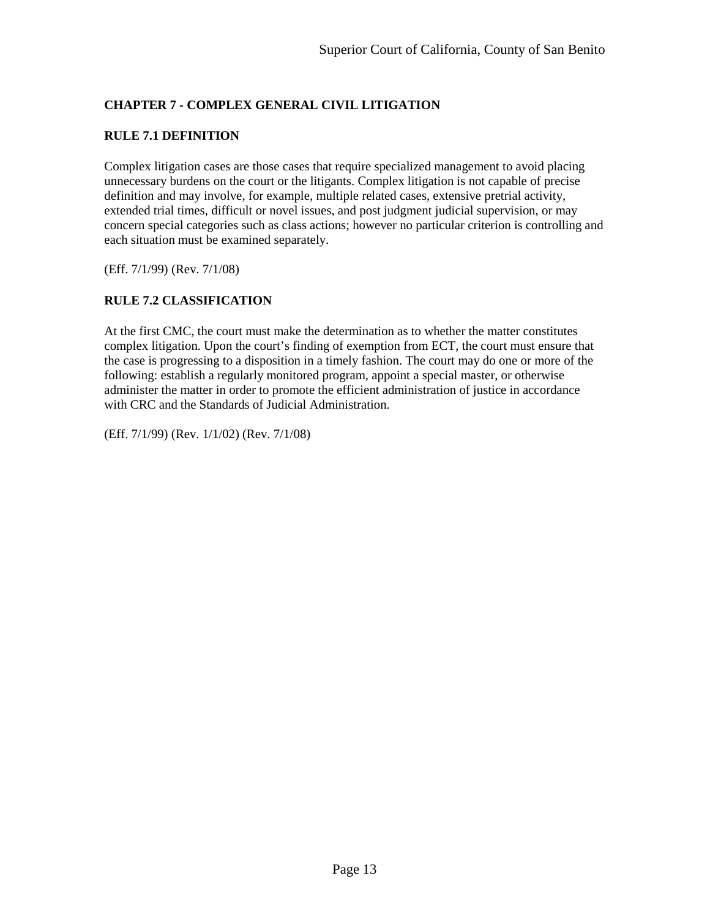# <span id="page-15-0"></span>**CHAPTER 7 - COMPLEX GENERAL CIVIL LITIGATION**

## <span id="page-15-1"></span>**RULE 7.1 DEFINITION**

Complex litigation cases are those cases that require specialized management to avoid placing unnecessary burdens on the court or the litigants. Complex litigation is not capable of precise definition and may involve, for example, multiple related cases, extensive pretrial activity, extended trial times, difficult or novel issues, and post judgment judicial supervision, or may concern special categories such as class actions; however no particular criterion is controlling and each situation must be examined separately.

<span id="page-15-2"></span>(Eff. 7/1/99) (Rev. 7/1/08)

## **RULE 7.2 CLASSIFICATION**

At the first CMC, the court must make the determination as to whether the matter constitutes complex litigation. Upon the court's finding of exemption from ECT, the court must ensure that the case is progressing to a disposition in a timely fashion. The court may do one or more of the following: establish a regularly monitored program, appoint a special master, or otherwise administer the matter in order to promote the efficient administration of justice in accordance with CRC and the Standards of Judicial Administration.

(Eff. 7/1/99) (Rev. 1/1/02) (Rev. 7/1/08)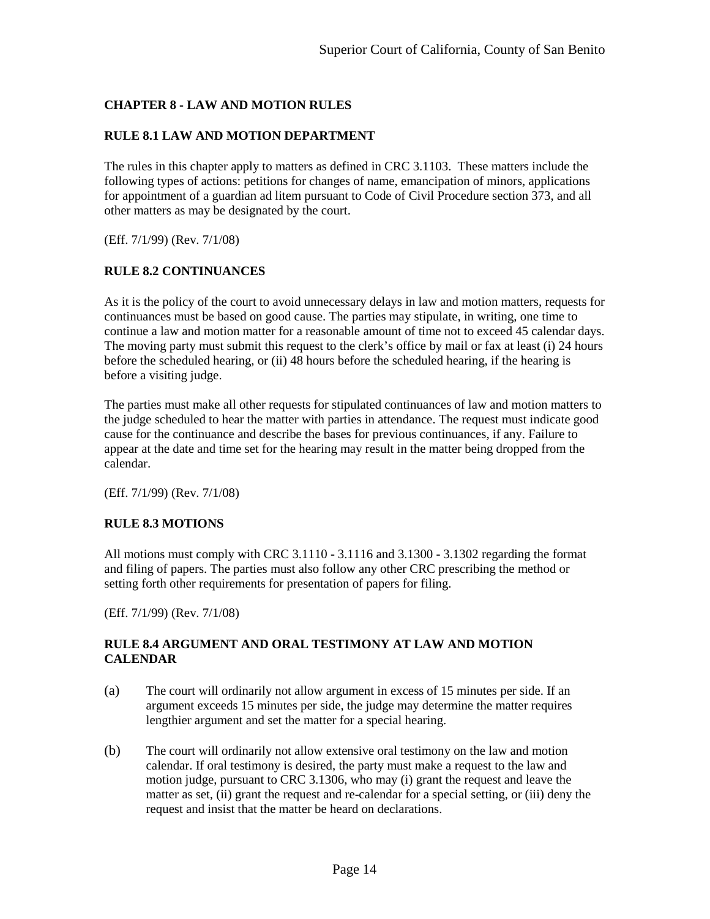# <span id="page-16-0"></span>**CHAPTER 8 - LAW AND MOTION RULES**

## <span id="page-16-1"></span>**RULE 8.1 LAW AND MOTION DEPARTMENT**

The rules in this chapter apply to matters as defined in CRC 3.1103. These matters include the following types of actions: petitions for changes of name, emancipation of minors, applications for appointment of a guardian ad litem pursuant to Code of Civil Procedure section 373, and all other matters as may be designated by the court.

<span id="page-16-2"></span>(Eff. 7/1/99) (Rev. 7/1/08)

## **RULE 8.2 CONTINUANCES**

As it is the policy of the court to avoid unnecessary delays in law and motion matters, requests for continuances must be based on good cause. The parties may stipulate, in writing, one time to continue a law and motion matter for a reasonable amount of time not to exceed 45 calendar days. The moving party must submit this request to the clerk's office by mail or fax at least (i) 24 hours before the scheduled hearing, or (ii) 48 hours before the scheduled hearing, if the hearing is before a visiting judge.

The parties must make all other requests for stipulated continuances of law and motion matters to the judge scheduled to hear the matter with parties in attendance. The request must indicate good cause for the continuance and describe the bases for previous continuances, if any. Failure to appear at the date and time set for the hearing may result in the matter being dropped from the calendar.

<span id="page-16-3"></span>(Eff. 7/1/99) (Rev. 7/1/08)

#### **RULE 8.3 MOTIONS**

All motions must comply with CRC 3.1110 - 3.1116 and 3.1300 - 3.1302 regarding the format and filing of papers. The parties must also follow any other CRC prescribing the method or setting forth other requirements for presentation of papers for filing.

<span id="page-16-4"></span>(Eff. 7/1/99) (Rev. 7/1/08)

## **RULE 8.4 ARGUMENT AND ORAL TESTIMONY AT LAW AND MOTION CALENDAR**

- (a) The court will ordinarily not allow argument in excess of 15 minutes per side. If an argument exceeds 15 minutes per side, the judge may determine the matter requires lengthier argument and set the matter for a special hearing.
- (b) The court will ordinarily not allow extensive oral testimony on the law and motion calendar. If oral testimony is desired, the party must make a request to the law and motion judge, pursuant to CRC 3.1306, who may (i) grant the request and leave the matter as set, (ii) grant the request and re-calendar for a special setting, or (iii) deny the request and insist that the matter be heard on declarations.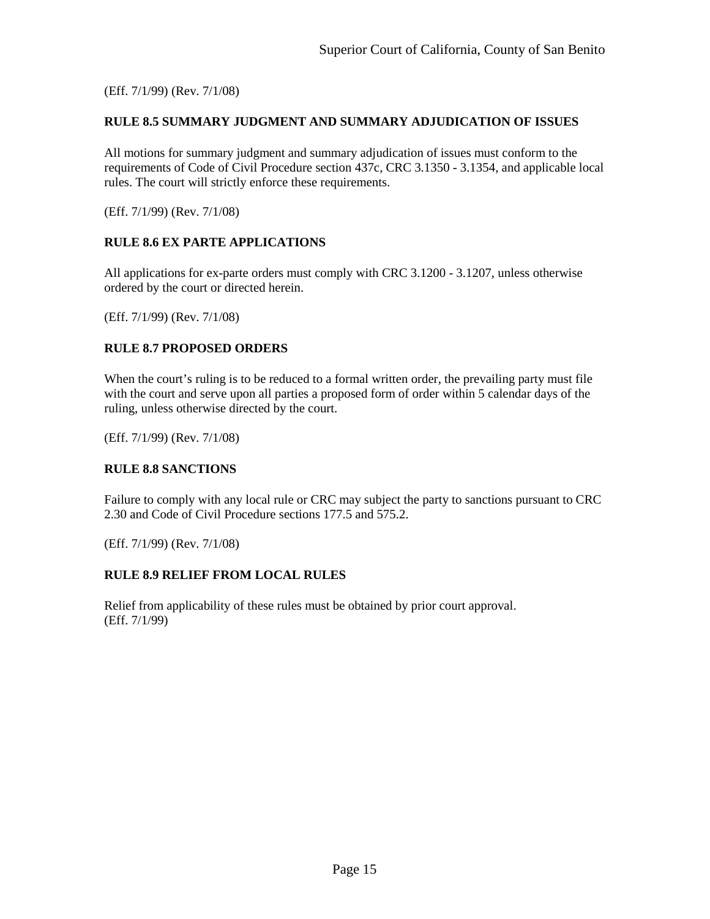<span id="page-17-0"></span>(Eff. 7/1/99) (Rev. 7/1/08)

#### **RULE 8.5 SUMMARY JUDGMENT AND SUMMARY ADJUDICATION OF ISSUES**

All motions for summary judgment and summary adjudication of issues must conform to the requirements of Code of Civil Procedure section 437c, CRC 3.1350 - 3.1354, and applicable local rules. The court will strictly enforce these requirements.

<span id="page-17-1"></span>(Eff. 7/1/99) (Rev. 7/1/08)

## **RULE 8.6 EX PARTE APPLICATIONS**

All applications for ex-parte orders must comply with CRC 3.1200 - 3.1207, unless otherwise ordered by the court or directed herein.

<span id="page-17-2"></span>(Eff. 7/1/99) (Rev. 7/1/08)

#### **RULE 8.7 PROPOSED ORDERS**

When the court's ruling is to be reduced to a formal written order, the prevailing party must file with the court and serve upon all parties a proposed form of order within 5 calendar days of the ruling, unless otherwise directed by the court.

<span id="page-17-3"></span>(Eff. 7/1/99) (Rev. 7/1/08)

## **RULE 8.8 SANCTIONS**

Failure to comply with any local rule or CRC may subject the party to sanctions pursuant to CRC 2.30 and Code of Civil Procedure sections 177.5 and 575.2.

<span id="page-17-4"></span>(Eff. 7/1/99) (Rev. 7/1/08)

## **RULE 8.9 RELIEF FROM LOCAL RULES**

Relief from applicability of these rules must be obtained by prior court approval. (Eff. 7/1/99)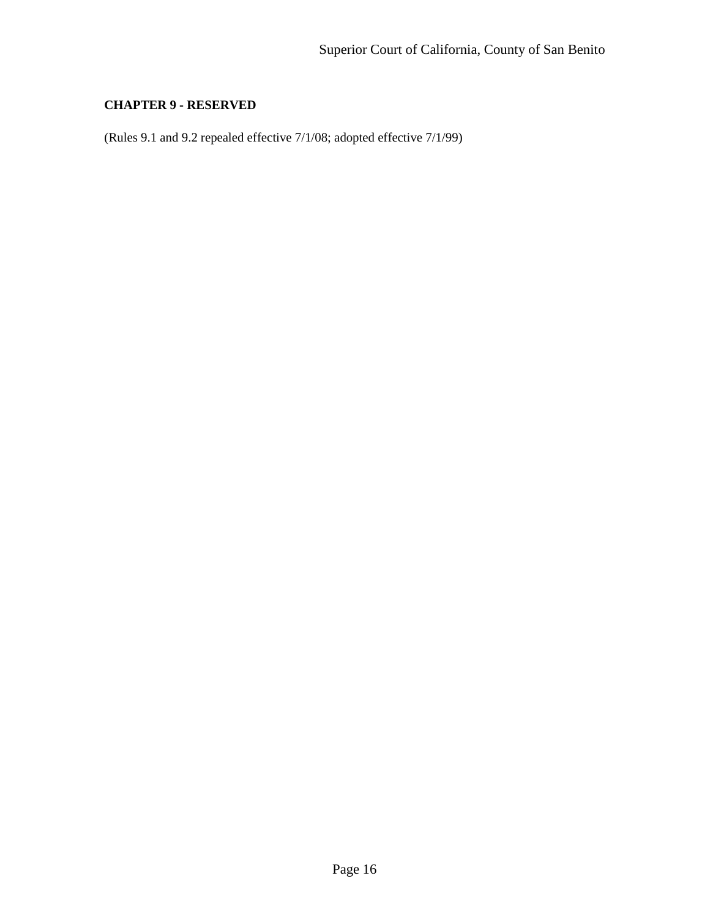# <span id="page-18-0"></span>**CHAPTER 9 - RESERVED**

(Rules 9.1 and 9.2 repealed effective 7/1/08; adopted effective 7/1/99)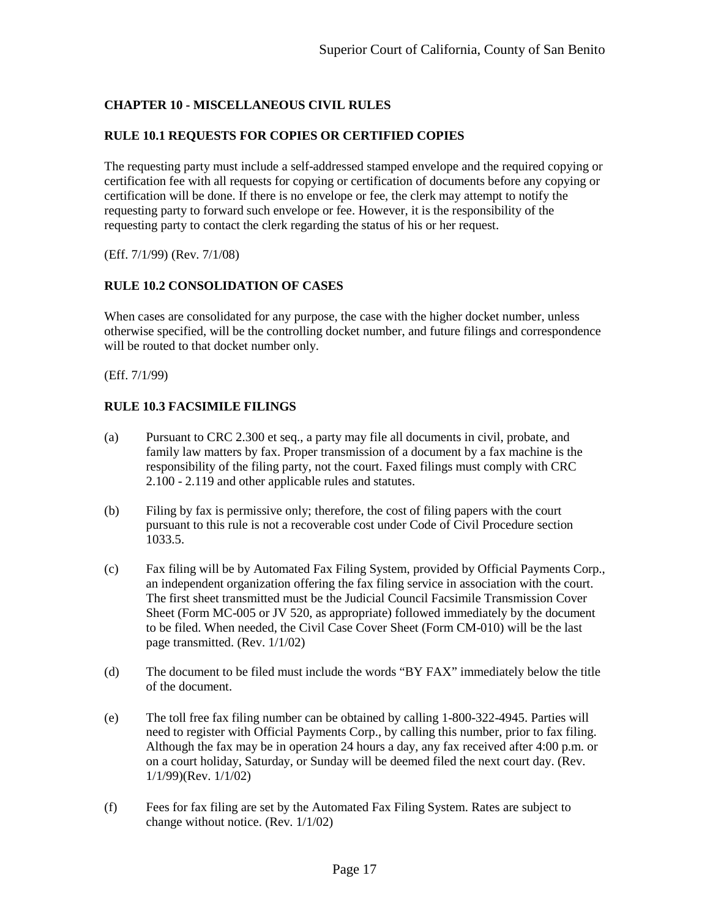# <span id="page-19-0"></span>**CHAPTER 10 - MISCELLANEOUS CIVIL RULES**

## <span id="page-19-1"></span>**RULE 10.1 REQUESTS FOR COPIES OR CERTIFIED COPIES**

The requesting party must include a self-addressed stamped envelope and the required copying or certification fee with all requests for copying or certification of documents before any copying or certification will be done. If there is no envelope or fee, the clerk may attempt to notify the requesting party to forward such envelope or fee. However, it is the responsibility of the requesting party to contact the clerk regarding the status of his or her request.

<span id="page-19-2"></span>(Eff. 7/1/99) (Rev. 7/1/08)

#### **RULE 10.2 CONSOLIDATION OF CASES**

When cases are consolidated for any purpose, the case with the higher docket number, unless otherwise specified, will be the controlling docket number, and future filings and correspondence will be routed to that docket number only.

<span id="page-19-3"></span>(Eff. 7/1/99)

#### **RULE 10.3 FACSIMILE FILINGS**

- (a) Pursuant to CRC 2.300 et seq., a party may file all documents in civil, probate, and family law matters by fax. Proper transmission of a document by a fax machine is the responsibility of the filing party, not the court. Faxed filings must comply with CRC 2.100 - 2.119 and other applicable rules and statutes.
- (b) Filing by fax is permissive only; therefore, the cost of filing papers with the court pursuant to this rule is not a recoverable cost under Code of Civil Procedure section 1033.5.
- (c) Fax filing will be by Automated Fax Filing System, provided by Official Payments Corp., an independent organization offering the fax filing service in association with the court. The first sheet transmitted must be the Judicial Council Facsimile Transmission Cover Sheet (Form MC-005 or JV 520, as appropriate) followed immediately by the document to be filed. When needed, the Civil Case Cover Sheet (Form CM-010) will be the last page transmitted. (Rev. 1/1/02)
- (d) The document to be filed must include the words "BY FAX" immediately below the title of the document.
- (e) The toll free fax filing number can be obtained by calling 1-800-322-4945. Parties will need to register with Official Payments Corp., by calling this number, prior to fax filing. Although the fax may be in operation 24 hours a day, any fax received after 4:00 p.m. or on a court holiday, Saturday, or Sunday will be deemed filed the next court day. (Rev. 1/1/99)(Rev. 1/1/02)
- (f) Fees for fax filing are set by the Automated Fax Filing System. Rates are subject to change without notice. (Rev. 1/1/02)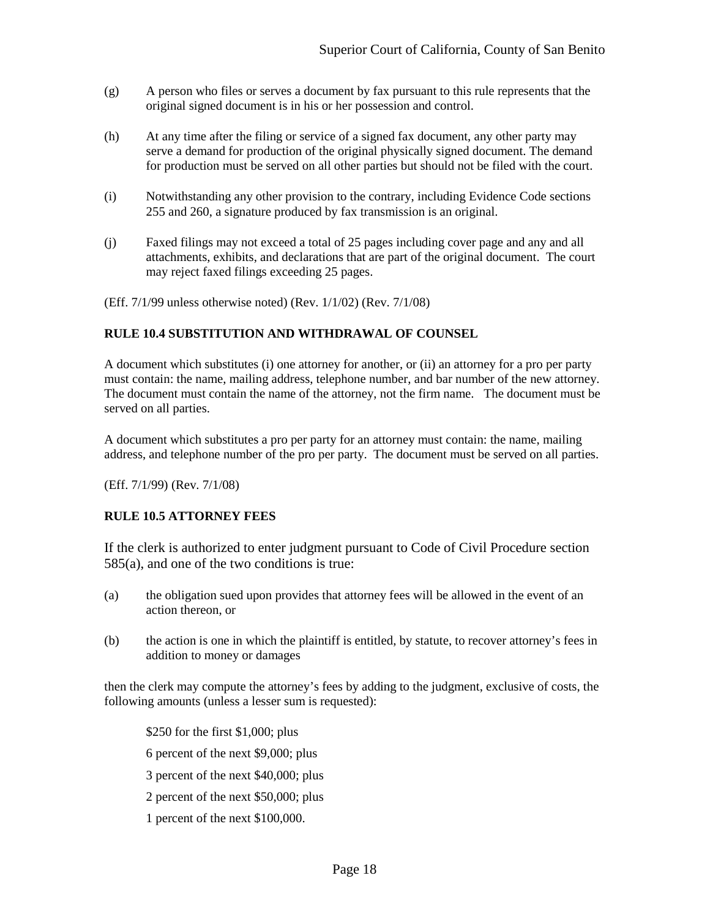- (g) A person who files or serves a document by fax pursuant to this rule represents that the original signed document is in his or her possession and control.
- (h) At any time after the filing or service of a signed fax document, any other party may serve a demand for production of the original physically signed document. The demand for production must be served on all other parties but should not be filed with the court.
- (i) Notwithstanding any other provision to the contrary, including Evidence Code sections 255 and 260, a signature produced by fax transmission is an original.
- (j) Faxed filings may not exceed a total of 25 pages including cover page and any and all attachments, exhibits, and declarations that are part of the original document. The court may reject faxed filings exceeding 25 pages.

(Eff. 7/1/99 unless otherwise noted) (Rev. 1/1/02) (Rev. 7/1/08)

#### <span id="page-20-0"></span>**RULE 10.4 SUBSTITUTION AND WITHDRAWAL OF COUNSEL**

A document which substitutes (i) one attorney for another, or (ii) an attorney for a pro per party must contain: the name, mailing address, telephone number, and bar number of the new attorney. The document must contain the name of the attorney, not the firm name. The document must be served on all parties.

A document which substitutes a pro per party for an attorney must contain: the name, mailing address, and telephone number of the pro per party. The document must be served on all parties.

(Eff. 7/1/99) (Rev. 7/1/08)

#### <span id="page-20-1"></span>**RULE 10.5 ATTORNEY FEES**

If the clerk is authorized to enter judgment pursuant to Code of Civil Procedure section 585(a), and one of the two conditions is true:

- (a) the obligation sued upon provides that attorney fees will be allowed in the event of an action thereon, or
- (b) the action is one in which the plaintiff is entitled, by statute, to recover attorney's fees in addition to money or damages

then the clerk may compute the attorney's fees by adding to the judgment, exclusive of costs, the following amounts (unless a lesser sum is requested):

\$250 for the first \$1,000; plus 6 percent of the next \$9,000; plus 3 percent of the next \$40,000; plus 2 percent of the next \$50,000; plus 1 percent of the next \$100,000.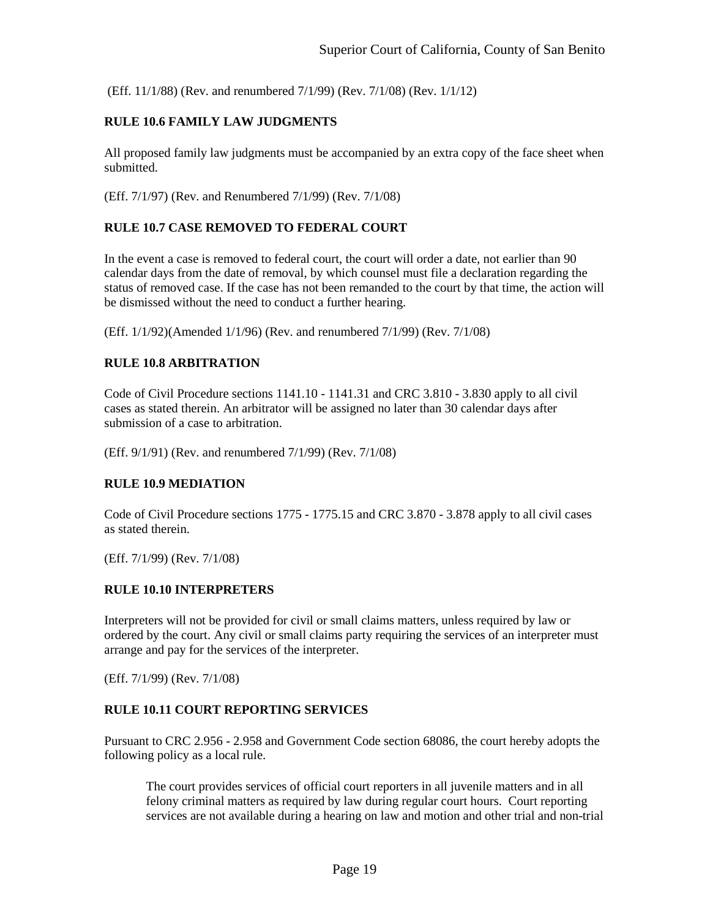<span id="page-21-0"></span>(Eff. 11/1/88) (Rev. and renumbered 7/1/99) (Rev. 7/1/08) (Rev. 1/1/12)

## **RULE 10.6 FAMILY LAW JUDGMENTS**

All proposed family law judgments must be accompanied by an extra copy of the face sheet when submitted.

<span id="page-21-1"></span>(Eff. 7/1/97) (Rev. and Renumbered 7/1/99) (Rev. 7/1/08)

#### **RULE 10.7 CASE REMOVED TO FEDERAL COURT**

In the event a case is removed to federal court, the court will order a date, not earlier than 90 calendar days from the date of removal, by which counsel must file a declaration regarding the status of removed case. If the case has not been remanded to the court by that time, the action will be dismissed without the need to conduct a further hearing.

<span id="page-21-2"></span>(Eff. 1/1/92)(Amended 1/1/96) (Rev. and renumbered 7/1/99) (Rev. 7/1/08)

#### **RULE 10.8 ARBITRATION**

Code of Civil Procedure sections 1141.10 - 1141.31 and CRC 3.810 - 3.830 apply to all civil cases as stated therein. An arbitrator will be assigned no later than 30 calendar days after submission of a case to arbitration.

<span id="page-21-3"></span>(Eff. 9/1/91) (Rev. and renumbered 7/1/99) (Rev. 7/1/08)

#### **RULE 10.9 MEDIATION**

Code of Civil Procedure sections 1775 - 1775.15 and CRC 3.870 - 3.878 apply to all civil cases as stated therein.

<span id="page-21-4"></span>(Eff. 7/1/99) (Rev. 7/1/08)

#### **RULE 10.10 INTERPRETERS**

Interpreters will not be provided for civil or small claims matters, unless required by law or ordered by the court. Any civil or small claims party requiring the services of an interpreter must arrange and pay for the services of the interpreter.

<span id="page-21-5"></span>(Eff. 7/1/99) (Rev. 7/1/08)

#### **RULE 10.11 COURT REPORTING SERVICES**

Pursuant to CRC 2.956 - 2.958 and Government Code section 68086, the court hereby adopts the following policy as a local rule.

The court provides services of official court reporters in all juvenile matters and in all felony criminal matters as required by law during regular court hours. Court reporting services are not available during a hearing on law and motion and other trial and non-trial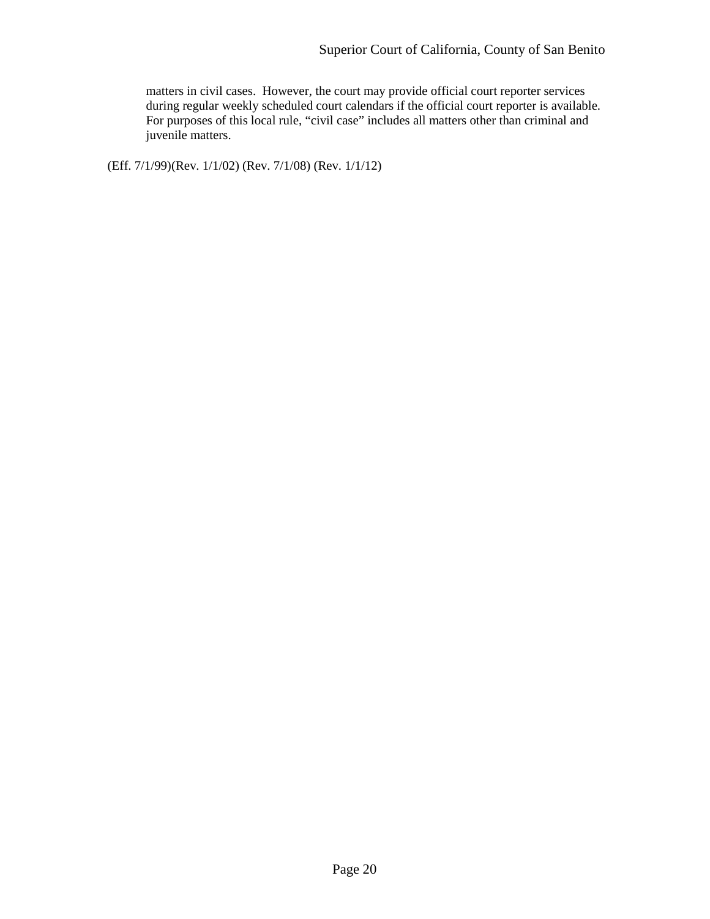matters in civil cases. However, the court may provide official court reporter services during regular weekly scheduled court calendars if the official court reporter is available. For purposes of this local rule, "civil case" includes all matters other than criminal and juvenile matters.

(Eff. 7/1/99)(Rev. 1/1/02) (Rev. 7/1/08) (Rev. 1/1/12)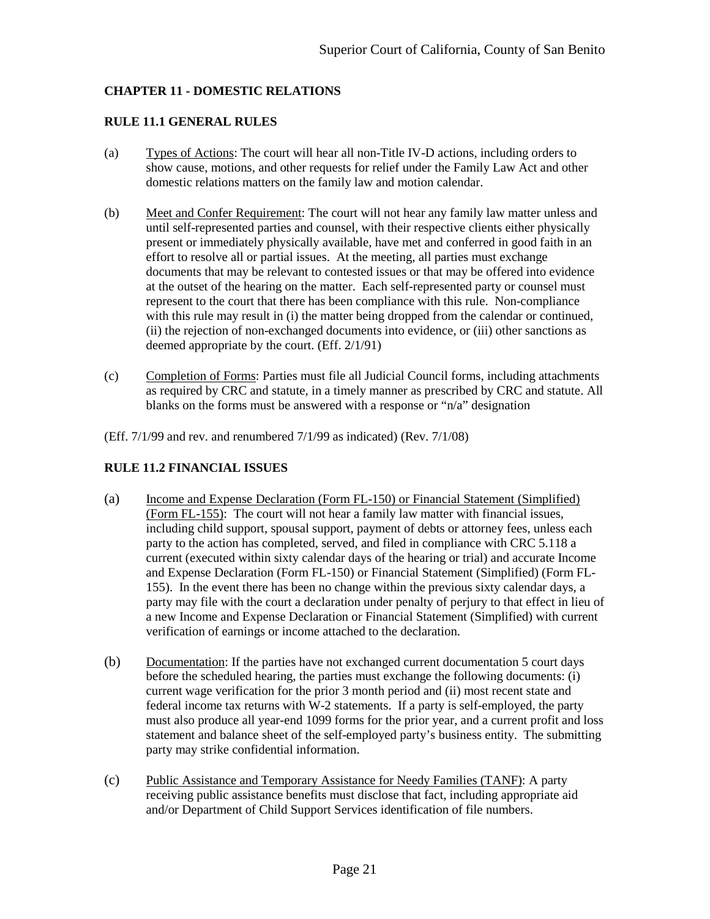## <span id="page-23-0"></span>**CHAPTER 11 - DOMESTIC RELATIONS**

## <span id="page-23-1"></span>**RULE 11.1 GENERAL RULES**

- (a) Types of Actions: The court will hear all non-Title IV-D actions, including orders to show cause, motions, and other requests for relief under the Family Law Act and other domestic relations matters on the family law and motion calendar.
- (b) Meet and Confer Requirement: The court will not hear any family law matter unless and until self-represented parties and counsel, with their respective clients either physically present or immediately physically available, have met and conferred in good faith in an effort to resolve all or partial issues. At the meeting, all parties must exchange documents that may be relevant to contested issues or that may be offered into evidence at the outset of the hearing on the matter. Each self-represented party or counsel must represent to the court that there has been compliance with this rule. Non-compliance with this rule may result in (i) the matter being dropped from the calendar or continued, (ii) the rejection of non-exchanged documents into evidence, or (iii) other sanctions as deemed appropriate by the court. (Eff. 2/1/91)
- (c) Completion of Forms: Parties must file all Judicial Council forms, including attachments as required by CRC and statute, in a timely manner as prescribed by CRC and statute. All blanks on the forms must be answered with a response or "n/a" designation
- (Eff. 7/1/99 and rev. and renumbered 7/1/99 as indicated) (Rev. 7/1/08)

## <span id="page-23-2"></span>**RULE 11.2 FINANCIAL ISSUES**

- (a) Income and Expense Declaration (Form FL-150) or Financial Statement (Simplified) (Form FL-155): The court will not hear a family law matter with financial issues, including child support, spousal support, payment of debts or attorney fees, unless each party to the action has completed, served, and filed in compliance with CRC 5.118 a current (executed within sixty calendar days of the hearing or trial) and accurate Income and Expense Declaration (Form FL-150) or Financial Statement (Simplified) (Form FL-155). In the event there has been no change within the previous sixty calendar days, a party may file with the court a declaration under penalty of perjury to that effect in lieu of a new Income and Expense Declaration or Financial Statement (Simplified) with current verification of earnings or income attached to the declaration.
- (b) Documentation: If the parties have not exchanged current documentation 5 court days before the scheduled hearing, the parties must exchange the following documents: (i) current wage verification for the prior 3 month period and (ii) most recent state and federal income tax returns with W-2 statements. If a party is self-employed, the party must also produce all year-end 1099 forms for the prior year, and a current profit and loss statement and balance sheet of the self-employed party's business entity. The submitting party may strike confidential information.
- (c) Public Assistance and Temporary Assistance for Needy Families (TANF): A party receiving public assistance benefits must disclose that fact, including appropriate aid and/or Department of Child Support Services identification of file numbers.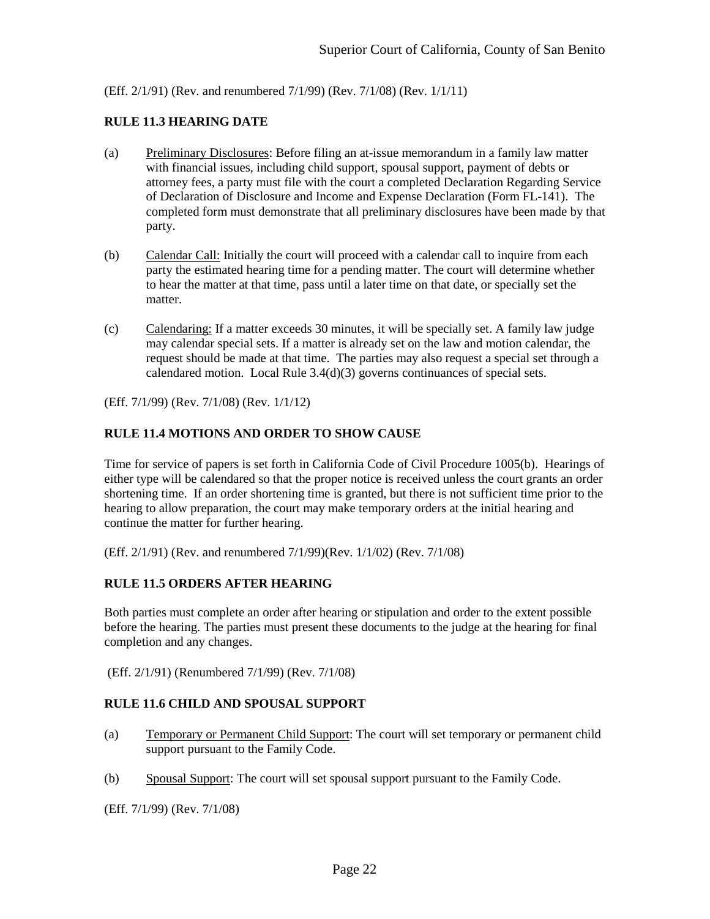<span id="page-24-0"></span>(Eff. 2/1/91) (Rev. and renumbered 7/1/99) (Rev. 7/1/08) (Rev. 1/1/11)

#### **RULE 11.3 HEARING DATE**

- (a) Preliminary Disclosures: Before filing an at-issue memorandum in a family law matter with financial issues, including child support, spousal support, payment of debts or attorney fees, a party must file with the court a completed Declaration Regarding Service of Declaration of Disclosure and Income and Expense Declaration (Form FL-141). The completed form must demonstrate that all preliminary disclosures have been made by that party.
- (b) Calendar Call: Initially the court will proceed with a calendar call to inquire from each party the estimated hearing time for a pending matter. The court will determine whether to hear the matter at that time, pass until a later time on that date, or specially set the matter.
- (c) Calendaring: If a matter exceeds 30 minutes, it will be specially set. A family law judge may calendar special sets. If a matter is already set on the law and motion calendar, the request should be made at that time. The parties may also request a special set through a calendared motion. Local Rule 3.4(d)(3) governs continuances of special sets.

<span id="page-24-1"></span>(Eff. 7/1/99) (Rev. 7/1/08) (Rev. 1/1/12)

#### **RULE 11.4 MOTIONS AND ORDER TO SHOW CAUSE**

Time for service of papers is set forth in California Code of Civil Procedure 1005(b). Hearings of either type will be calendared so that the proper notice is received unless the court grants an order shortening time. If an order shortening time is granted, but there is not sufficient time prior to the hearing to allow preparation, the court may make temporary orders at the initial hearing and continue the matter for further hearing.

<span id="page-24-2"></span>(Eff. 2/1/91) (Rev. and renumbered 7/1/99)(Rev. 1/1/02) (Rev. 7/1/08)

#### **RULE 11.5 ORDERS AFTER HEARING**

Both parties must complete an order after hearing or stipulation and order to the extent possible before the hearing. The parties must present these documents to the judge at the hearing for final completion and any changes.

<span id="page-24-3"></span>(Eff. 2/1/91) (Renumbered 7/1/99) (Rev. 7/1/08)

#### **RULE 11.6 CHILD AND SPOUSAL SUPPORT**

- (a) Temporary or Permanent Child Support: The court will set temporary or permanent child support pursuant to the Family Code.
- (b) Spousal Support: The court will set spousal support pursuant to the Family Code.

(Eff. 7/1/99) (Rev. 7/1/08)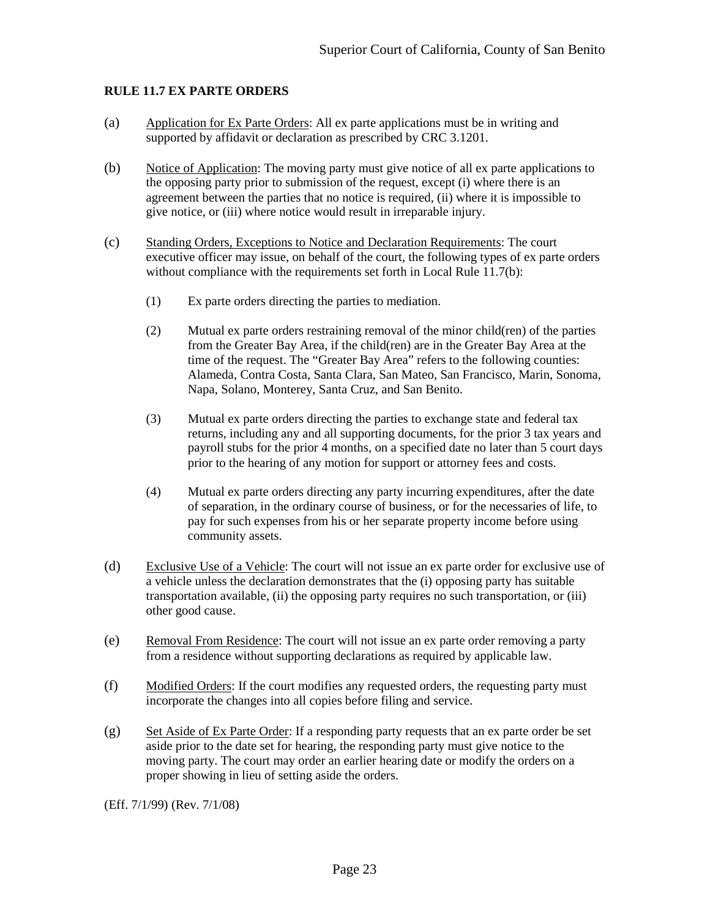#### <span id="page-25-0"></span>**RULE 11.7 EX PARTE ORDERS**

- (a) Application for Ex Parte Orders: All ex parte applications must be in writing and supported by affidavit or declaration as prescribed by CRC 3.1201.
- (b) Notice of Application: The moving party must give notice of all ex parte applications to the opposing party prior to submission of the request, except (i) where there is an agreement between the parties that no notice is required, (ii) where it is impossible to give notice, or (iii) where notice would result in irreparable injury.
- (c) Standing Orders, Exceptions to Notice and Declaration Requirements: The court executive officer may issue, on behalf of the court, the following types of ex parte orders without compliance with the requirements set forth in Local Rule 11.7(b):
	- (1) Ex parte orders directing the parties to mediation.
	- (2) Mutual ex parte orders restraining removal of the minor child(ren) of the parties from the Greater Bay Area, if the child(ren) are in the Greater Bay Area at the time of the request. The "Greater Bay Area" refers to the following counties: Alameda, Contra Costa, Santa Clara, San Mateo, San Francisco, Marin, Sonoma, Napa, Solano, Monterey, Santa Cruz, and San Benito.
	- (3) Mutual ex parte orders directing the parties to exchange state and federal tax returns, including any and all supporting documents, for the prior 3 tax years and payroll stubs for the prior 4 months, on a specified date no later than 5 court days prior to the hearing of any motion for support or attorney fees and costs.
	- (4) Mutual ex parte orders directing any party incurring expenditures, after the date of separation, in the ordinary course of business, or for the necessaries of life, to pay for such expenses from his or her separate property income before using community assets.
- (d) Exclusive Use of a Vehicle: The court will not issue an ex parte order for exclusive use of a vehicle unless the declaration demonstrates that the (i) opposing party has suitable transportation available, (ii) the opposing party requires no such transportation, or (iii) other good cause.
- (e) Removal From Residence: The court will not issue an ex parte order removing a party from a residence without supporting declarations as required by applicable law.
- (f) Modified Orders: If the court modifies any requested orders, the requesting party must incorporate the changes into all copies before filing and service.
- $(g)$  Set Aside of Ex Parte Order: If a responding party requests that an ex parte order be set aside prior to the date set for hearing, the responding party must give notice to the moving party. The court may order an earlier hearing date or modify the orders on a proper showing in lieu of setting aside the orders.

(Eff. 7/1/99) (Rev. 7/1/08)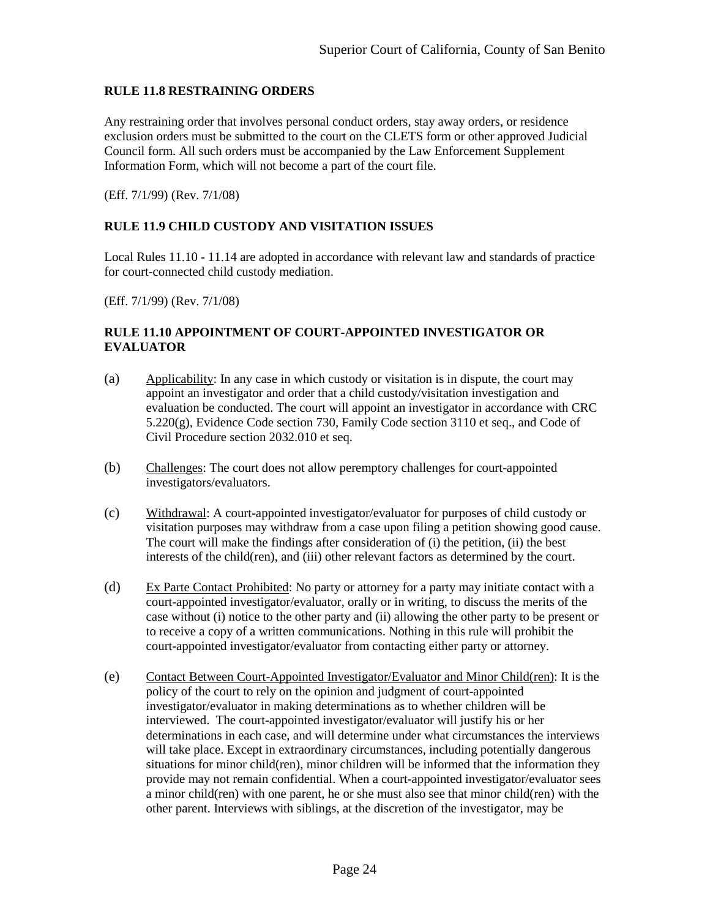## <span id="page-26-0"></span>**RULE 11.8 RESTRAINING ORDERS**

Any restraining order that involves personal conduct orders, stay away orders, or residence exclusion orders must be submitted to the court on the CLETS form or other approved Judicial Council form. All such orders must be accompanied by the Law Enforcement Supplement Information Form, which will not become a part of the court file.

<span id="page-26-1"></span>(Eff. 7/1/99) (Rev. 7/1/08)

#### **RULE 11.9 CHILD CUSTODY AND VISITATION ISSUES**

Local Rules 11.10 - 11.14 are adopted in accordance with relevant law and standards of practice for court-connected child custody mediation.

<span id="page-26-2"></span>(Eff. 7/1/99) (Rev. 7/1/08)

#### **RULE 11.10 APPOINTMENT OF COURT-APPOINTED INVESTIGATOR OR EVALUATOR**

- (a) Applicability: In any case in which custody or visitation is in dispute, the court may appoint an investigator and order that a child custody/visitation investigation and evaluation be conducted. The court will appoint an investigator in accordance with CRC 5.220(g), Evidence Code section 730, Family Code section 3110 et seq., and Code of Civil Procedure section 2032.010 et seq.
- (b) Challenges: The court does not allow peremptory challenges for court-appointed investigators/evaluators.
- (c) Withdrawal: A court-appointed investigator/evaluator for purposes of child custody or visitation purposes may withdraw from a case upon filing a petition showing good cause. The court will make the findings after consideration of (i) the petition, (ii) the best interests of the child(ren), and (iii) other relevant factors as determined by the court.
- (d) Ex Parte Contact Prohibited: No party or attorney for a party may initiate contact with a court-appointed investigator/evaluator, orally or in writing, to discuss the merits of the case without (i) notice to the other party and (ii) allowing the other party to be present or to receive a copy of a written communications. Nothing in this rule will prohibit the court-appointed investigator/evaluator from contacting either party or attorney.
- (e) Contact Between Court-Appointed Investigator/Evaluator and Minor Child(ren): It is the policy of the court to rely on the opinion and judgment of court-appointed investigator/evaluator in making determinations as to whether children will be interviewed. The court-appointed investigator/evaluator will justify his or her determinations in each case, and will determine under what circumstances the interviews will take place. Except in extraordinary circumstances, including potentially dangerous situations for minor child(ren), minor children will be informed that the information they provide may not remain confidential. When a court-appointed investigator/evaluator sees a minor child(ren) with one parent, he or she must also see that minor child(ren) with the other parent. Interviews with siblings, at the discretion of the investigator, may be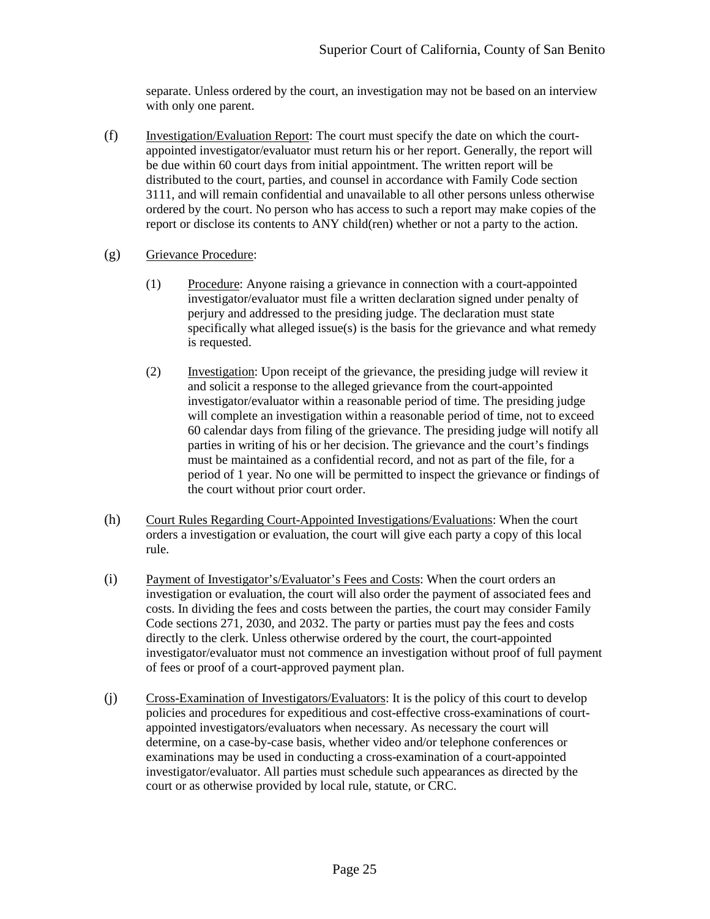separate. Unless ordered by the court, an investigation may not be based on an interview with only one parent.

- (f) Investigation/Evaluation Report: The court must specify the date on which the courtappointed investigator/evaluator must return his or her report. Generally, the report will be due within 60 court days from initial appointment. The written report will be distributed to the court, parties, and counsel in accordance with Family Code section 3111, and will remain confidential and unavailable to all other persons unless otherwise ordered by the court. No person who has access to such a report may make copies of the report or disclose its contents to ANY child(ren) whether or not a party to the action.
- (g) Grievance Procedure:
	- (1) Procedure: Anyone raising a grievance in connection with a court-appointed investigator/evaluator must file a written declaration signed under penalty of perjury and addressed to the presiding judge. The declaration must state specifically what alleged issue(s) is the basis for the grievance and what remedy is requested.
	- (2) Investigation: Upon receipt of the grievance, the presiding judge will review it and solicit a response to the alleged grievance from the court-appointed investigator/evaluator within a reasonable period of time. The presiding judge will complete an investigation within a reasonable period of time, not to exceed 60 calendar days from filing of the grievance. The presiding judge will notify all parties in writing of his or her decision. The grievance and the court's findings must be maintained as a confidential record, and not as part of the file, for a period of 1 year. No one will be permitted to inspect the grievance or findings of the court without prior court order.
- (h) Court Rules Regarding Court-Appointed Investigations/Evaluations: When the court orders a investigation or evaluation, the court will give each party a copy of this local rule.
- (i) Payment of Investigator's/Evaluator's Fees and Costs: When the court orders an investigation or evaluation, the court will also order the payment of associated fees and costs. In dividing the fees and costs between the parties, the court may consider Family Code sections 271, 2030, and 2032. The party or parties must pay the fees and costs directly to the clerk. Unless otherwise ordered by the court, the court-appointed investigator/evaluator must not commence an investigation without proof of full payment of fees or proof of a court-approved payment plan.
- (j) Cross-Examination of Investigators/Evaluators: It is the policy of this court to develop policies and procedures for expeditious and cost-effective cross-examinations of courtappointed investigators/evaluators when necessary. As necessary the court will determine, on a case-by-case basis, whether video and/or telephone conferences or examinations may be used in conducting a cross-examination of a court-appointed investigator/evaluator. All parties must schedule such appearances as directed by the court or as otherwise provided by local rule, statute, or CRC.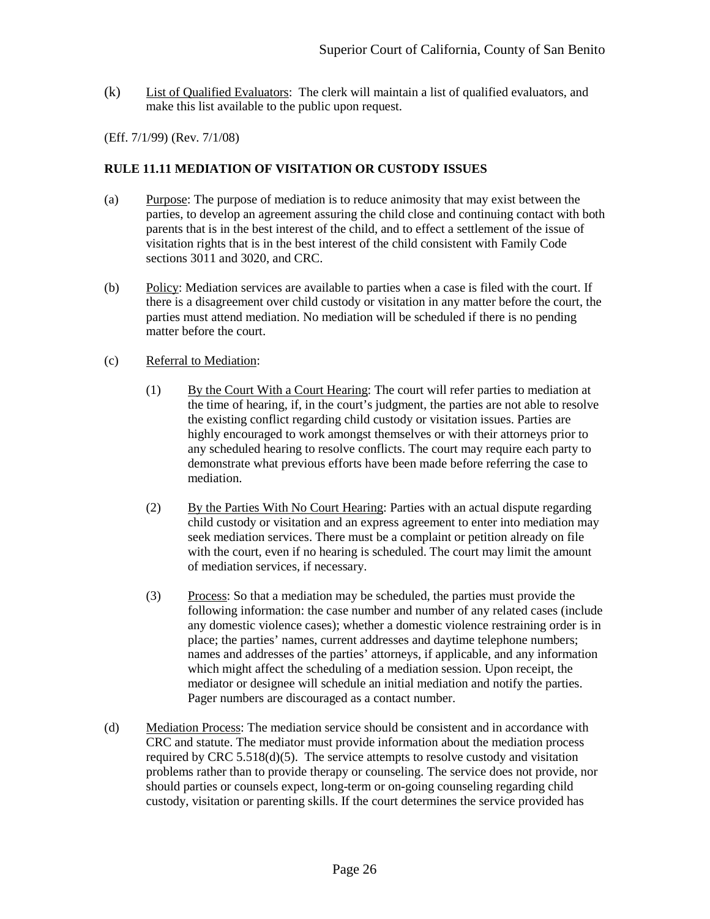(k) List of Qualified Evaluators: The clerk will maintain a list of qualified evaluators, and make this list available to the public upon request.

#### (Eff. 7/1/99) (Rev. 7/1/08)

#### <span id="page-28-0"></span>**RULE 11.11 MEDIATION OF VISITATION OR CUSTODY ISSUES**

- (a) Purpose: The purpose of mediation is to reduce animosity that may exist between the parties, to develop an agreement assuring the child close and continuing contact with both parents that is in the best interest of the child, and to effect a settlement of the issue of visitation rights that is in the best interest of the child consistent with Family Code sections 3011 and 3020, and CRC.
- (b) Policy: Mediation services are available to parties when a case is filed with the court. If there is a disagreement over child custody or visitation in any matter before the court, the parties must attend mediation. No mediation will be scheduled if there is no pending matter before the court.

#### (c) Referral to Mediation:

- (1) By the Court With a Court Hearing: The court will refer parties to mediation at the time of hearing, if, in the court's judgment, the parties are not able to resolve the existing conflict regarding child custody or visitation issues. Parties are highly encouraged to work amongst themselves or with their attorneys prior to any scheduled hearing to resolve conflicts. The court may require each party to demonstrate what previous efforts have been made before referring the case to mediation.
- (2) By the Parties With No Court Hearing: Parties with an actual dispute regarding child custody or visitation and an express agreement to enter into mediation may seek mediation services. There must be a complaint or petition already on file with the court, even if no hearing is scheduled. The court may limit the amount of mediation services, if necessary.
- (3) Process: So that a mediation may be scheduled, the parties must provide the following information: the case number and number of any related cases (include any domestic violence cases); whether a domestic violence restraining order is in place; the parties' names, current addresses and daytime telephone numbers; names and addresses of the parties' attorneys, if applicable, and any information which might affect the scheduling of a mediation session. Upon receipt, the mediator or designee will schedule an initial mediation and notify the parties. Pager numbers are discouraged as a contact number.
- (d) Mediation Process: The mediation service should be consistent and in accordance with CRC and statute. The mediator must provide information about the mediation process required by CRC  $5.518(d)(5)$ . The service attempts to resolve custody and visitation problems rather than to provide therapy or counseling. The service does not provide, nor should parties or counsels expect, long-term or on-going counseling regarding child custody, visitation or parenting skills. If the court determines the service provided has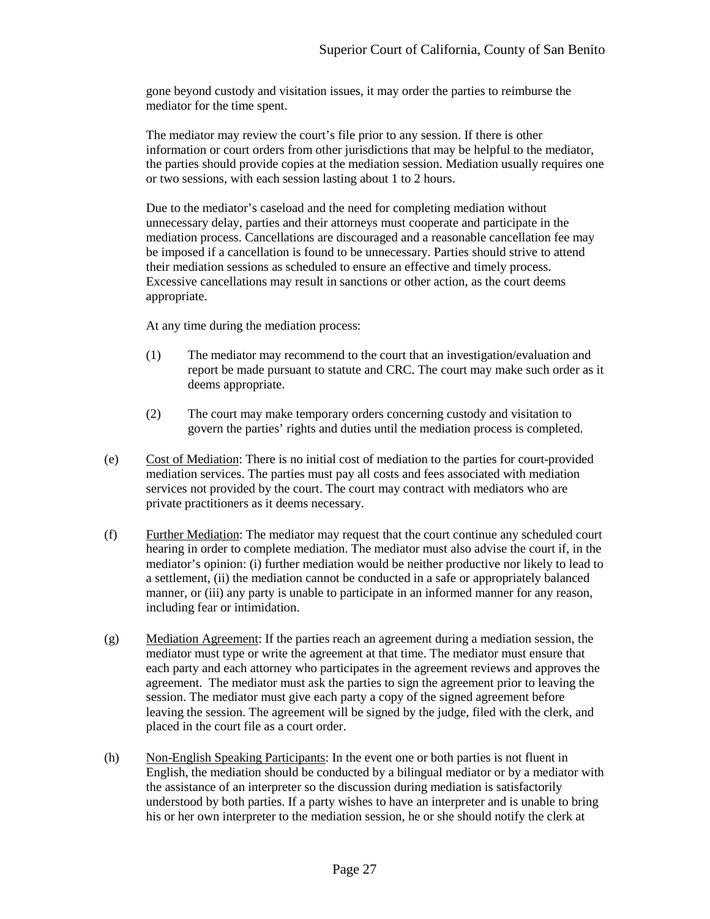gone beyond custody and visitation issues, it may order the parties to reimburse the mediator for the time spent.

The mediator may review the court's file prior to any session. If there is other information or court orders from other jurisdictions that may be helpful to the mediator, the parties should provide copies at the mediation session. Mediation usually requires one or two sessions, with each session lasting about 1 to 2 hours.

Due to the mediator's caseload and the need for completing mediation without unnecessary delay, parties and their attorneys must cooperate and participate in the mediation process. Cancellations are discouraged and a reasonable cancellation fee may be imposed if a cancellation is found to be unnecessary. Parties should strive to attend their mediation sessions as scheduled to ensure an effective and timely process. Excessive cancellations may result in sanctions or other action, as the court deems appropriate.

At any time during the mediation process:

- (1) The mediator may recommend to the court that an investigation/evaluation and report be made pursuant to statute and CRC. The court may make such order as it deems appropriate.
- (2) The court may make temporary orders concerning custody and visitation to govern the parties' rights and duties until the mediation process is completed.
- (e) Cost of Mediation: There is no initial cost of mediation to the parties for court-provided mediation services. The parties must pay all costs and fees associated with mediation services not provided by the court. The court may contract with mediators who are private practitioners as it deems necessary.
- (f) Further Mediation: The mediator may request that the court continue any scheduled court hearing in order to complete mediation. The mediator must also advise the court if, in the mediator's opinion: (i) further mediation would be neither productive nor likely to lead to a settlement, (ii) the mediation cannot be conducted in a safe or appropriately balanced manner, or (iii) any party is unable to participate in an informed manner for any reason, including fear or intimidation.
- (g) Mediation Agreement: If the parties reach an agreement during a mediation session, the mediator must type or write the agreement at that time. The mediator must ensure that each party and each attorney who participates in the agreement reviews and approves the agreement. The mediator must ask the parties to sign the agreement prior to leaving the session. The mediator must give each party a copy of the signed agreement before leaving the session. The agreement will be signed by the judge, filed with the clerk, and placed in the court file as a court order.
- (h) Non-English Speaking Participants: In the event one or both parties is not fluent in English, the mediation should be conducted by a bilingual mediator or by a mediator with the assistance of an interpreter so the discussion during mediation is satisfactorily understood by both parties. If a party wishes to have an interpreter and is unable to bring his or her own interpreter to the mediation session, he or she should notify the clerk at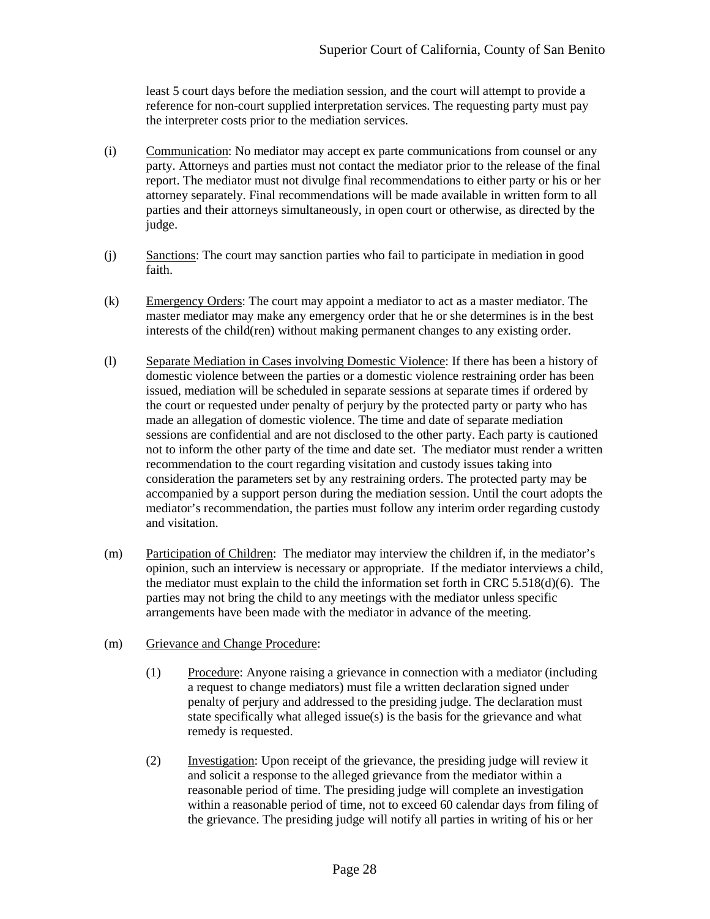least 5 court days before the mediation session, and the court will attempt to provide a reference for non-court supplied interpretation services. The requesting party must pay the interpreter costs prior to the mediation services.

- (i) Communication: No mediator may accept ex parte communications from counsel or any party. Attorneys and parties must not contact the mediator prior to the release of the final report. The mediator must not divulge final recommendations to either party or his or her attorney separately. Final recommendations will be made available in written form to all parties and their attorneys simultaneously, in open court or otherwise, as directed by the judge.
- (j) Sanctions: The court may sanction parties who fail to participate in mediation in good faith.
- (k) Emergency Orders: The court may appoint a mediator to act as a master mediator. The master mediator may make any emergency order that he or she determines is in the best interests of the child(ren) without making permanent changes to any existing order.
- (l) Separate Mediation in Cases involving Domestic Violence: If there has been a history of domestic violence between the parties or a domestic violence restraining order has been issued, mediation will be scheduled in separate sessions at separate times if ordered by the court or requested under penalty of perjury by the protected party or party who has made an allegation of domestic violence. The time and date of separate mediation sessions are confidential and are not disclosed to the other party. Each party is cautioned not to inform the other party of the time and date set. The mediator must render a written recommendation to the court regarding visitation and custody issues taking into consideration the parameters set by any restraining orders. The protected party may be accompanied by a support person during the mediation session. Until the court adopts the mediator's recommendation, the parties must follow any interim order regarding custody and visitation.
- (m) Participation of Children: The mediator may interview the children if, in the mediator's opinion, such an interview is necessary or appropriate. If the mediator interviews a child, the mediator must explain to the child the information set forth in CRC  $5.518(d)(6)$ . The parties may not bring the child to any meetings with the mediator unless specific arrangements have been made with the mediator in advance of the meeting.
- (m) Grievance and Change Procedure:
	- (1) Procedure: Anyone raising a grievance in connection with a mediator (including a request to change mediators) must file a written declaration signed under penalty of perjury and addressed to the presiding judge. The declaration must state specifically what alleged issue(s) is the basis for the grievance and what remedy is requested.
	- (2) Investigation: Upon receipt of the grievance, the presiding judge will review it and solicit a response to the alleged grievance from the mediator within a reasonable period of time. The presiding judge will complete an investigation within a reasonable period of time, not to exceed 60 calendar days from filing of the grievance. The presiding judge will notify all parties in writing of his or her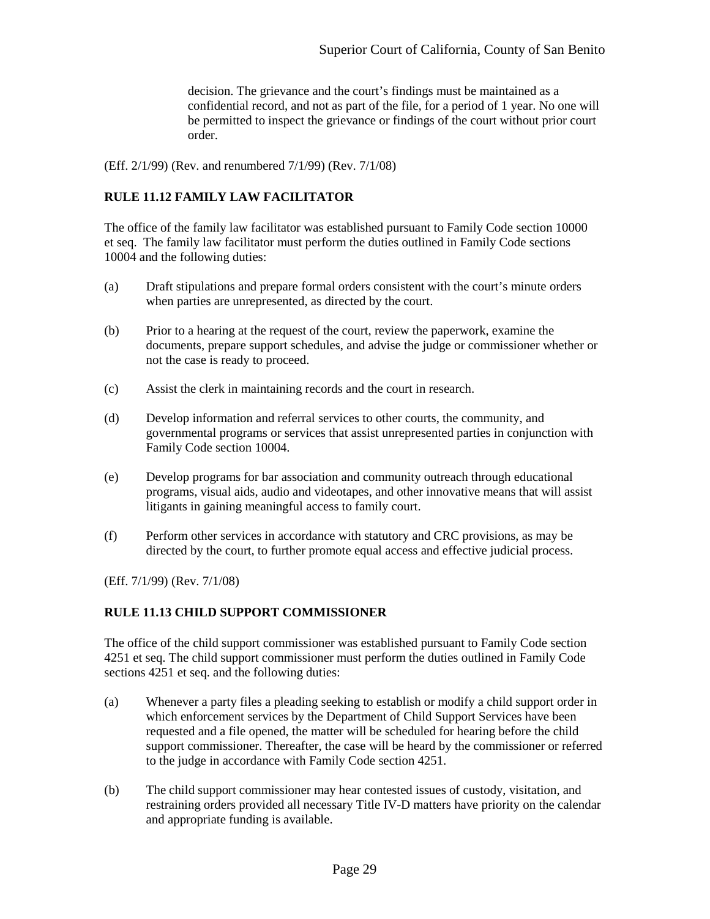decision. The grievance and the court's findings must be maintained as a confidential record, and not as part of the file, for a period of 1 year. No one will be permitted to inspect the grievance or findings of the court without prior court order.

(Eff. 2/1/99) (Rev. and renumbered 7/1/99) (Rev. 7/1/08)

## <span id="page-31-0"></span>**RULE 11.12 FAMILY LAW FACILITATOR**

The office of the family law facilitator was established pursuant to Family Code section 10000 et seq. The family law facilitator must perform the duties outlined in Family Code sections 10004 and the following duties:

- (a) Draft stipulations and prepare formal orders consistent with the court's minute orders when parties are unrepresented, as directed by the court.
- (b) Prior to a hearing at the request of the court, review the paperwork, examine the documents, prepare support schedules, and advise the judge or commissioner whether or not the case is ready to proceed.
- (c) Assist the clerk in maintaining records and the court in research.
- (d) Develop information and referral services to other courts, the community, and governmental programs or services that assist unrepresented parties in conjunction with Family Code section 10004.
- (e) Develop programs for bar association and community outreach through educational programs, visual aids, audio and videotapes, and other innovative means that will assist litigants in gaining meaningful access to family court.
- (f) Perform other services in accordance with statutory and CRC provisions, as may be directed by the court, to further promote equal access and effective judicial process.

(Eff. 7/1/99) (Rev. 7/1/08)

## <span id="page-31-1"></span>**RULE 11.13 CHILD SUPPORT COMMISSIONER**

The office of the child support commissioner was established pursuant to Family Code section 4251 et seq. The child support commissioner must perform the duties outlined in Family Code sections 4251 et seq. and the following duties:

- (a) Whenever a party files a pleading seeking to establish or modify a child support order in which enforcement services by the Department of Child Support Services have been requested and a file opened, the matter will be scheduled for hearing before the child support commissioner. Thereafter, the case will be heard by the commissioner or referred to the judge in accordance with Family Code section 4251.
- (b) The child support commissioner may hear contested issues of custody, visitation, and restraining orders provided all necessary Title IV-D matters have priority on the calendar and appropriate funding is available.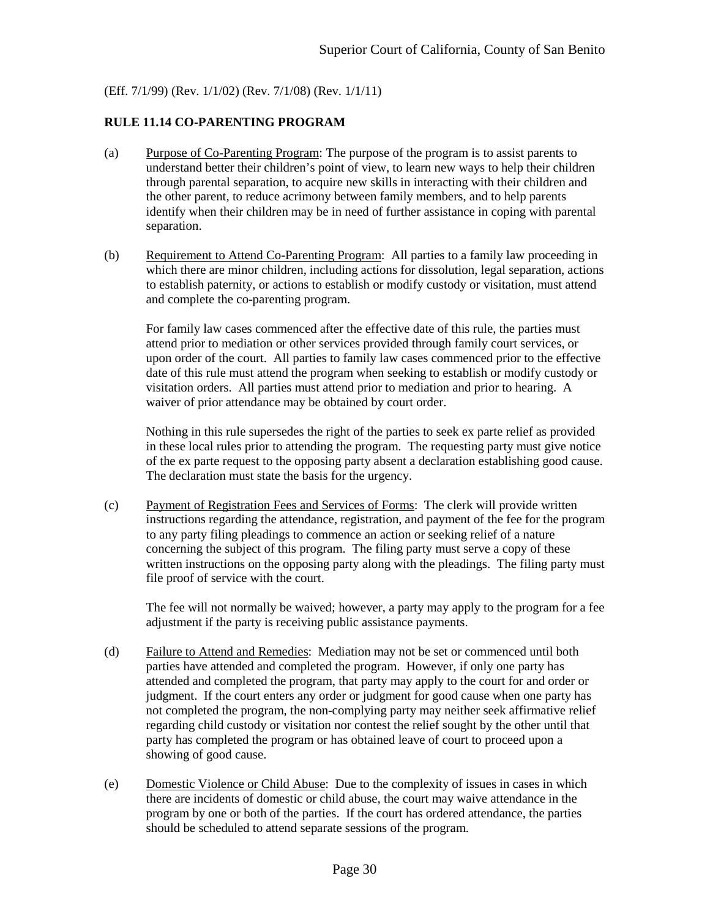(Eff. 7/1/99) (Rev. 1/1/02) (Rev. 7/1/08) (Rev. 1/1/11)

## <span id="page-32-0"></span>**RULE 11.14 CO-PARENTING PROGRAM**

- (a) Purpose of Co-Parenting Program: The purpose of the program is to assist parents to understand better their children's point of view, to learn new ways to help their children through parental separation, to acquire new skills in interacting with their children and the other parent, to reduce acrimony between family members, and to help parents identify when their children may be in need of further assistance in coping with parental separation.
- (b) Requirement to Attend Co-Parenting Program: All parties to a family law proceeding in which there are minor children, including actions for dissolution, legal separation, actions to establish paternity, or actions to establish or modify custody or visitation, must attend and complete the co-parenting program.

For family law cases commenced after the effective date of this rule, the parties must attend prior to mediation or other services provided through family court services, or upon order of the court. All parties to family law cases commenced prior to the effective date of this rule must attend the program when seeking to establish or modify custody or visitation orders. All parties must attend prior to mediation and prior to hearing. A waiver of prior attendance may be obtained by court order.

Nothing in this rule supersedes the right of the parties to seek ex parte relief as provided in these local rules prior to attending the program. The requesting party must give notice of the ex parte request to the opposing party absent a declaration establishing good cause. The declaration must state the basis for the urgency.

(c) Payment of Registration Fees and Services of Forms: The clerk will provide written instructions regarding the attendance, registration, and payment of the fee for the program to any party filing pleadings to commence an action or seeking relief of a nature concerning the subject of this program. The filing party must serve a copy of these written instructions on the opposing party along with the pleadings. The filing party must file proof of service with the court.

The fee will not normally be waived; however, a party may apply to the program for a fee adjustment if the party is receiving public assistance payments.

- (d) Failure to Attend and Remedies: Mediation may not be set or commenced until both parties have attended and completed the program. However, if only one party has attended and completed the program, that party may apply to the court for and order or judgment. If the court enters any order or judgment for good cause when one party has not completed the program, the non-complying party may neither seek affirmative relief regarding child custody or visitation nor contest the relief sought by the other until that party has completed the program or has obtained leave of court to proceed upon a showing of good cause.
- (e) Domestic Violence or Child Abuse: Due to the complexity of issues in cases in which there are incidents of domestic or child abuse, the court may waive attendance in the program by one or both of the parties. If the court has ordered attendance, the parties should be scheduled to attend separate sessions of the program.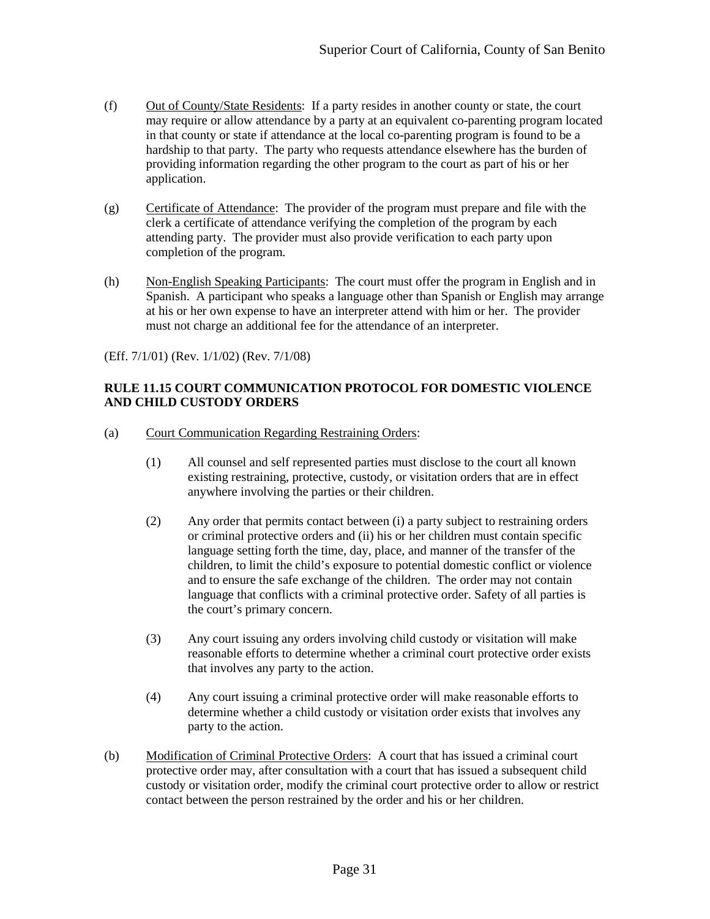- (f) Out of County/State Residents: If a party resides in another county or state, the court may require or allow attendance by a party at an equivalent co-parenting program located in that county or state if attendance at the local co-parenting program is found to be a hardship to that party. The party who requests attendance elsewhere has the burden of providing information regarding the other program to the court as part of his or her application.
- (g) Certificate of Attendance: The provider of the program must prepare and file with the clerk a certificate of attendance verifying the completion of the program by each attending party. The provider must also provide verification to each party upon completion of the program.
- (h) Non-English Speaking Participants: The court must offer the program in English and in Spanish. A participant who speaks a language other than Spanish or English may arrange at his or her own expense to have an interpreter attend with him or her. The provider must not charge an additional fee for the attendance of an interpreter.

(Eff. 7/1/01) (Rev. 1/1/02) (Rev. 7/1/08)

#### <span id="page-33-0"></span>**RULE 11.15 COURT COMMUNICATION PROTOCOL FOR DOMESTIC VIOLENCE AND CHILD CUSTODY ORDERS**

- (a) Court Communication Regarding Restraining Orders:
	- (1) All counsel and self represented parties must disclose to the court all known existing restraining, protective, custody, or visitation orders that are in effect anywhere involving the parties or their children.
	- (2) Any order that permits contact between (i) a party subject to restraining orders or criminal protective orders and (ii) his or her children must contain specific language setting forth the time, day, place, and manner of the transfer of the children, to limit the child's exposure to potential domestic conflict or violence and to ensure the safe exchange of the children. The order may not contain language that conflicts with a criminal protective order. Safety of all parties is the court's primary concern.
	- (3) Any court issuing any orders involving child custody or visitation will make reasonable efforts to determine whether a criminal court protective order exists that involves any party to the action.
	- (4) Any court issuing a criminal protective order will make reasonable efforts to determine whether a child custody or visitation order exists that involves any party to the action.
- (b) Modification of Criminal Protective Orders: A court that has issued a criminal court protective order may, after consultation with a court that has issued a subsequent child custody or visitation order, modify the criminal court protective order to allow or restrict contact between the person restrained by the order and his or her children.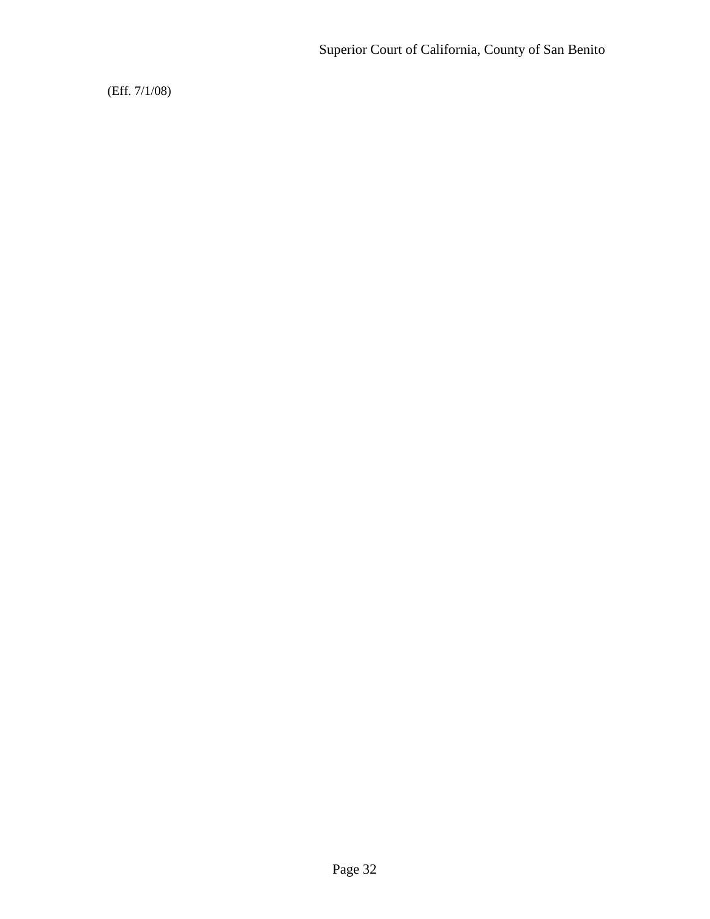(Eff. 7/1/08)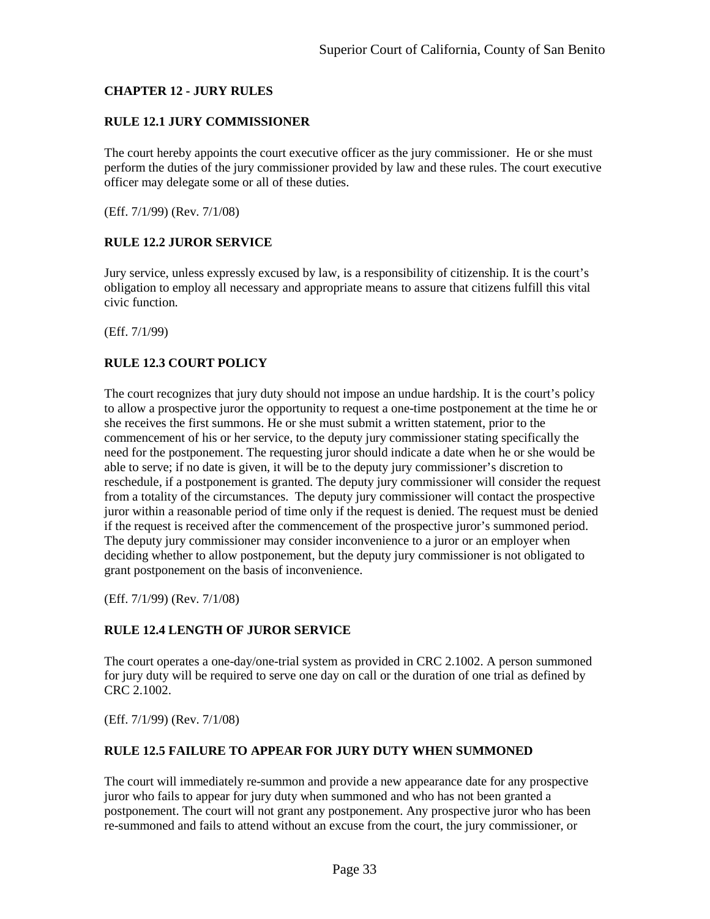## <span id="page-35-0"></span>**CHAPTER 12 - JURY RULES**

## <span id="page-35-1"></span>**RULE 12.1 JURY COMMISSIONER**

The court hereby appoints the court executive officer as the jury commissioner. He or she must perform the duties of the jury commissioner provided by law and these rules. The court executive officer may delegate some or all of these duties.

<span id="page-35-2"></span>(Eff. 7/1/99) (Rev. 7/1/08)

## **RULE 12.2 JUROR SERVICE**

Jury service, unless expressly excused by law, is a responsibility of citizenship. It is the court's obligation to employ all necessary and appropriate means to assure that citizens fulfill this vital civic function.

<span id="page-35-3"></span>(Eff. 7/1/99)

## **RULE 12.3 COURT POLICY**

The court recognizes that jury duty should not impose an undue hardship. It is the court's policy to allow a prospective juror the opportunity to request a one-time postponement at the time he or she receives the first summons. He or she must submit a written statement, prior to the commencement of his or her service, to the deputy jury commissioner stating specifically the need for the postponement. The requesting juror should indicate a date when he or she would be able to serve; if no date is given, it will be to the deputy jury commissioner's discretion to reschedule, if a postponement is granted. The deputy jury commissioner will consider the request from a totality of the circumstances. The deputy jury commissioner will contact the prospective juror within a reasonable period of time only if the request is denied. The request must be denied if the request is received after the commencement of the prospective juror's summoned period. The deputy jury commissioner may consider inconvenience to a juror or an employer when deciding whether to allow postponement, but the deputy jury commissioner is not obligated to grant postponement on the basis of inconvenience.

<span id="page-35-4"></span>(Eff. 7/1/99) (Rev. 7/1/08)

#### **RULE 12.4 LENGTH OF JUROR SERVICE**

The court operates a one-day/one-trial system as provided in CRC 2.1002. A person summoned for jury duty will be required to serve one day on call or the duration of one trial as defined by CRC 2.1002.

<span id="page-35-5"></span>(Eff. 7/1/99) (Rev. 7/1/08)

#### **RULE 12.5 FAILURE TO APPEAR FOR JURY DUTY WHEN SUMMONED**

The court will immediately re-summon and provide a new appearance date for any prospective juror who fails to appear for jury duty when summoned and who has not been granted a postponement. The court will not grant any postponement. Any prospective juror who has been re-summoned and fails to attend without an excuse from the court, the jury commissioner, or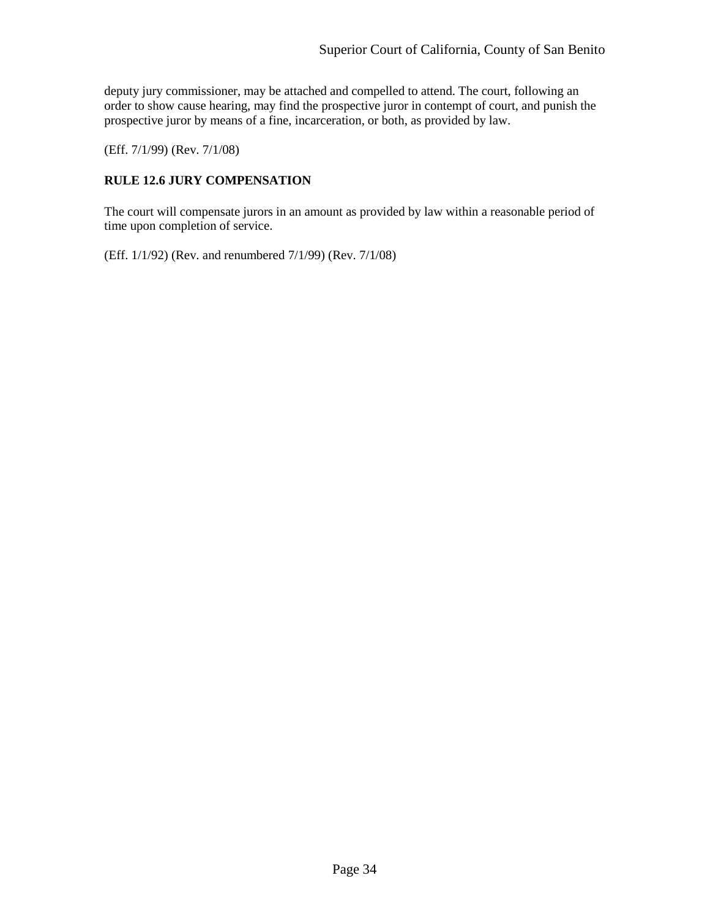deputy jury commissioner, may be attached and compelled to attend. The court, following an order to show cause hearing, may find the prospective juror in contempt of court, and punish the prospective juror by means of a fine, incarceration, or both, as provided by law.

<span id="page-36-0"></span>(Eff. 7/1/99) (Rev. 7/1/08)

## **RULE 12.6 JURY COMPENSATION**

The court will compensate jurors in an amount as provided by law within a reasonable period of time upon completion of service.

(Eff. 1/1/92) (Rev. and renumbered 7/1/99) (Rev. 7/1/08)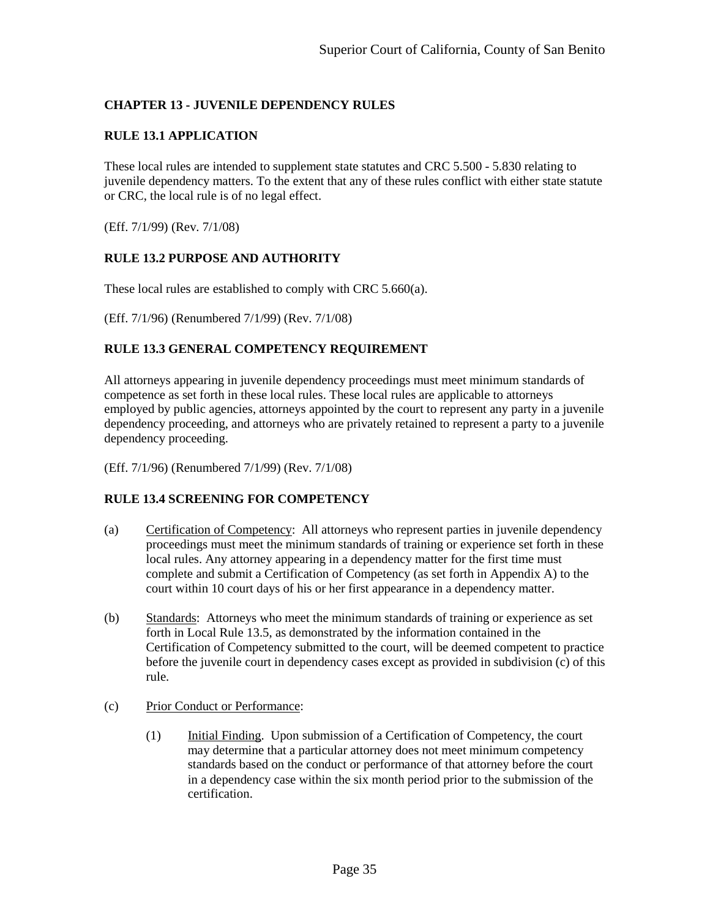## <span id="page-37-0"></span>**CHAPTER 13 - JUVENILE DEPENDENCY RULES**

#### <span id="page-37-1"></span>**RULE 13.1 APPLICATION**

These local rules are intended to supplement state statutes and CRC 5.500 - 5.830 relating to juvenile dependency matters. To the extent that any of these rules conflict with either state statute or CRC, the local rule is of no legal effect.

(Eff. 7/1/99) (Rev. 7/1/08)

#### <span id="page-37-2"></span>**RULE 13.2 PURPOSE AND AUTHORITY**

These local rules are established to comply with CRC 5.660(a).

<span id="page-37-3"></span>(Eff. 7/1/96) (Renumbered 7/1/99) (Rev. 7/1/08)

#### **RULE 13.3 GENERAL COMPETENCY REQUIREMENT**

All attorneys appearing in juvenile dependency proceedings must meet minimum standards of competence as set forth in these local rules. These local rules are applicable to attorneys employed by public agencies, attorneys appointed by the court to represent any party in a juvenile dependency proceeding, and attorneys who are privately retained to represent a party to a juvenile dependency proceeding.

<span id="page-37-4"></span>(Eff. 7/1/96) (Renumbered 7/1/99) (Rev. 7/1/08)

#### **RULE 13.4 SCREENING FOR COMPETENCY**

- (a) Certification of Competency: All attorneys who represent parties in juvenile dependency proceedings must meet the minimum standards of training or experience set forth in these local rules. Any attorney appearing in a dependency matter for the first time must complete and submit a Certification of Competency (as set forth in Appendix A) to the court within 10 court days of his or her first appearance in a dependency matter.
- (b) Standards: Attorneys who meet the minimum standards of training or experience as set forth in Local Rule 13.5, as demonstrated by the information contained in the Certification of Competency submitted to the court, will be deemed competent to practice before the juvenile court in dependency cases except as provided in subdivision (c) of this rule.
- (c) Prior Conduct or Performance:
	- (1) Initial Finding. Upon submission of a Certification of Competency, the court may determine that a particular attorney does not meet minimum competency standards based on the conduct or performance of that attorney before the court in a dependency case within the six month period prior to the submission of the certification.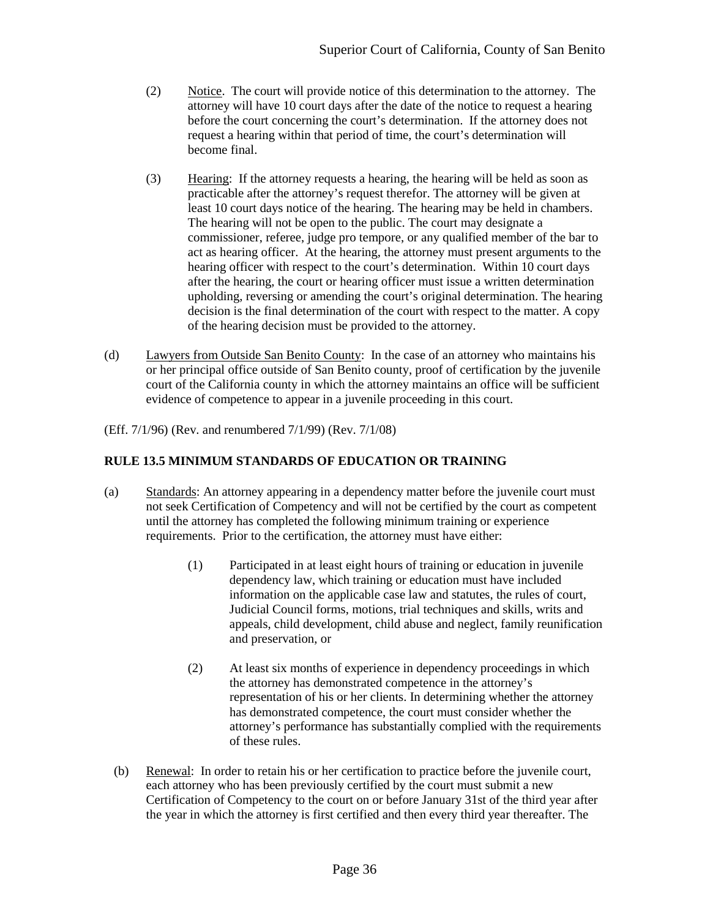- (2) Notice. The court will provide notice of this determination to the attorney. The attorney will have 10 court days after the date of the notice to request a hearing before the court concerning the court's determination. If the attorney does not request a hearing within that period of time, the court's determination will become final.
- (3) Hearing: If the attorney requests a hearing, the hearing will be held as soon as practicable after the attorney's request therefor. The attorney will be given at least 10 court days notice of the hearing. The hearing may be held in chambers. The hearing will not be open to the public. The court may designate a commissioner, referee, judge pro tempore, or any qualified member of the bar to act as hearing officer. At the hearing, the attorney must present arguments to the hearing officer with respect to the court's determination. Within 10 court days after the hearing, the court or hearing officer must issue a written determination upholding, reversing or amending the court's original determination. The hearing decision is the final determination of the court with respect to the matter. A copy of the hearing decision must be provided to the attorney.
- (d) Lawyers from Outside San Benito County: In the case of an attorney who maintains his or her principal office outside of San Benito county, proof of certification by the juvenile court of the California county in which the attorney maintains an office will be sufficient evidence of competence to appear in a juvenile proceeding in this court.

(Eff. 7/1/96) (Rev. and renumbered 7/1/99) (Rev. 7/1/08)

## <span id="page-38-0"></span>**RULE 13.5 MINIMUM STANDARDS OF EDUCATION OR TRAINING**

- (a) Standards: An attorney appearing in a dependency matter before the juvenile court must not seek Certification of Competency and will not be certified by the court as competent until the attorney has completed the following minimum training or experience requirements. Prior to the certification, the attorney must have either:
	- (1) Participated in at least eight hours of training or education in juvenile dependency law, which training or education must have included information on the applicable case law and statutes, the rules of court, Judicial Council forms, motions, trial techniques and skills, writs and appeals, child development, child abuse and neglect, family reunification and preservation, or
	- (2) At least six months of experience in dependency proceedings in which the attorney has demonstrated competence in the attorney's representation of his or her clients. In determining whether the attorney has demonstrated competence, the court must consider whether the attorney's performance has substantially complied with the requirements of these rules.
	- (b) Renewal: In order to retain his or her certification to practice before the juvenile court, each attorney who has been previously certified by the court must submit a new Certification of Competency to the court on or before January 31st of the third year after the year in which the attorney is first certified and then every third year thereafter. The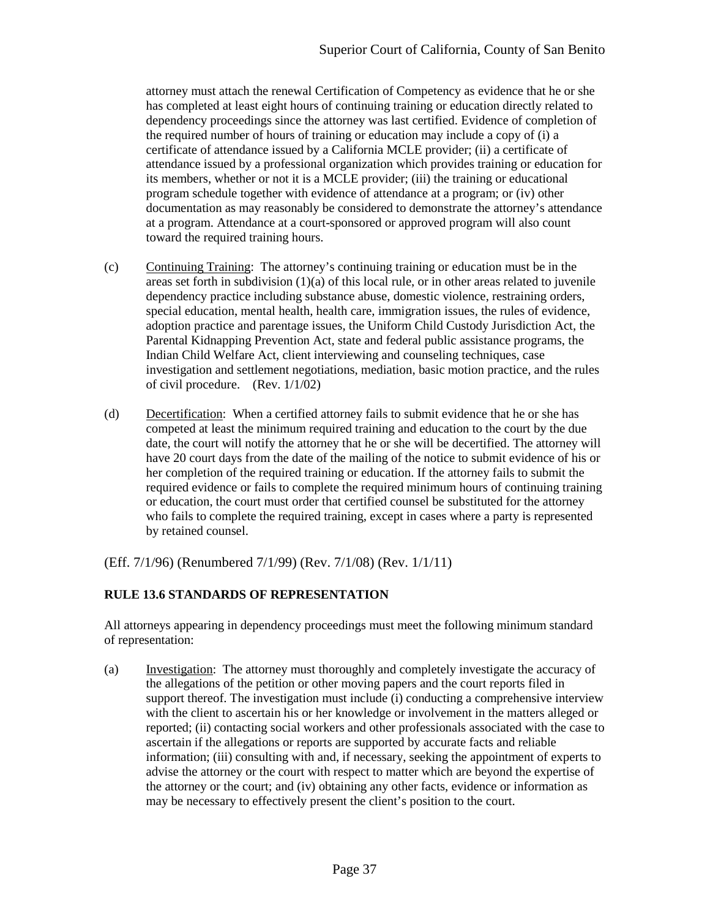attorney must attach the renewal Certification of Competency as evidence that he or she has completed at least eight hours of continuing training or education directly related to dependency proceedings since the attorney was last certified. Evidence of completion of the required number of hours of training or education may include a copy of (i) a certificate of attendance issued by a California MCLE provider; (ii) a certificate of attendance issued by a professional organization which provides training or education for its members, whether or not it is a MCLE provider; (iii) the training or educational program schedule together with evidence of attendance at a program; or (iv) other documentation as may reasonably be considered to demonstrate the attorney's attendance at a program. Attendance at a court-sponsored or approved program will also count toward the required training hours.

- (c) Continuing Training: The attorney's continuing training or education must be in the areas set forth in subdivision  $(1)(a)$  of this local rule, or in other areas related to juvenile dependency practice including substance abuse, domestic violence, restraining orders, special education, mental health, health care, immigration issues, the rules of evidence, adoption practice and parentage issues, the Uniform Child Custody Jurisdiction Act, the Parental Kidnapping Prevention Act, state and federal public assistance programs, the Indian Child Welfare Act, client interviewing and counseling techniques, case investigation and settlement negotiations, mediation, basic motion practice, and the rules of civil procedure. (Rev. 1/1/02)
- (d) Decertification: When a certified attorney fails to submit evidence that he or she has competed at least the minimum required training and education to the court by the due date, the court will notify the attorney that he or she will be decertified. The attorney will have 20 court days from the date of the mailing of the notice to submit evidence of his or her completion of the required training or education. If the attorney fails to submit the required evidence or fails to complete the required minimum hours of continuing training or education, the court must order that certified counsel be substituted for the attorney who fails to complete the required training, except in cases where a party is represented by retained counsel.

<span id="page-39-0"></span>(Eff. 7/1/96) (Renumbered 7/1/99) (Rev. 7/1/08) (Rev. 1/1/11)

## **RULE 13.6 STANDARDS OF REPRESENTATION**

All attorneys appearing in dependency proceedings must meet the following minimum standard of representation:

(a) Investigation: The attorney must thoroughly and completely investigate the accuracy of the allegations of the petition or other moving papers and the court reports filed in support thereof. The investigation must include (i) conducting a comprehensive interview with the client to ascertain his or her knowledge or involvement in the matters alleged or reported; (ii) contacting social workers and other professionals associated with the case to ascertain if the allegations or reports are supported by accurate facts and reliable information; (iii) consulting with and, if necessary, seeking the appointment of experts to advise the attorney or the court with respect to matter which are beyond the expertise of the attorney or the court; and (iv) obtaining any other facts, evidence or information as may be necessary to effectively present the client's position to the court.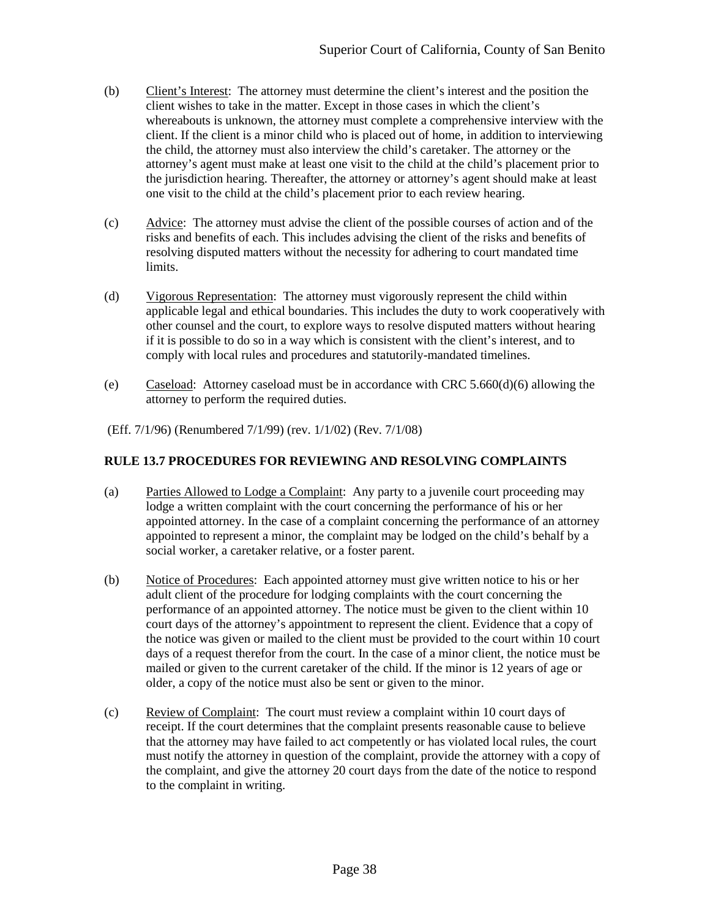- (b) Client's Interest: The attorney must determine the client's interest and the position the client wishes to take in the matter. Except in those cases in which the client's whereabouts is unknown, the attorney must complete a comprehensive interview with the client. If the client is a minor child who is placed out of home, in addition to interviewing the child, the attorney must also interview the child's caretaker. The attorney or the attorney's agent must make at least one visit to the child at the child's placement prior to the jurisdiction hearing. Thereafter, the attorney or attorney's agent should make at least one visit to the child at the child's placement prior to each review hearing.
- (c) Advice: The attorney must advise the client of the possible courses of action and of the risks and benefits of each. This includes advising the client of the risks and benefits of resolving disputed matters without the necessity for adhering to court mandated time limits.
- (d) Vigorous Representation: The attorney must vigorously represent the child within applicable legal and ethical boundaries. This includes the duty to work cooperatively with other counsel and the court, to explore ways to resolve disputed matters without hearing if it is possible to do so in a way which is consistent with the client's interest, and to comply with local rules and procedures and statutorily-mandated timelines.
- (e) Caseload: Attorney caseload must be in accordance with CRC 5.660(d)(6) allowing the attorney to perform the required duties.
- (Eff. 7/1/96) (Renumbered 7/1/99) (rev. 1/1/02) (Rev. 7/1/08)

## <span id="page-40-0"></span>**RULE 13.7 PROCEDURES FOR REVIEWING AND RESOLVING COMPLAINTS**

- (a) Parties Allowed to Lodge a Complaint: Any party to a juvenile court proceeding may lodge a written complaint with the court concerning the performance of his or her appointed attorney. In the case of a complaint concerning the performance of an attorney appointed to represent a minor, the complaint may be lodged on the child's behalf by a social worker, a caretaker relative, or a foster parent.
- (b) Notice of Procedures: Each appointed attorney must give written notice to his or her adult client of the procedure for lodging complaints with the court concerning the performance of an appointed attorney. The notice must be given to the client within 10 court days of the attorney's appointment to represent the client. Evidence that a copy of the notice was given or mailed to the client must be provided to the court within 10 court days of a request therefor from the court. In the case of a minor client, the notice must be mailed or given to the current caretaker of the child. If the minor is 12 years of age or older, a copy of the notice must also be sent or given to the minor.
- (c) Review of Complaint: The court must review a complaint within 10 court days of receipt. If the court determines that the complaint presents reasonable cause to believe that the attorney may have failed to act competently or has violated local rules, the court must notify the attorney in question of the complaint, provide the attorney with a copy of the complaint, and give the attorney 20 court days from the date of the notice to respond to the complaint in writing.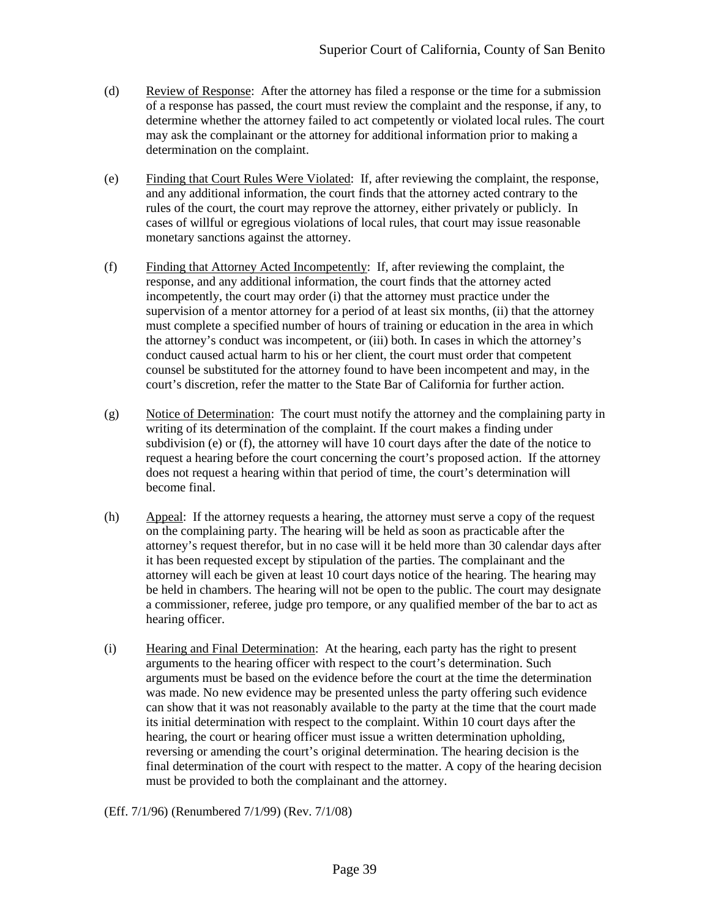- (d) Review of Response: After the attorney has filed a response or the time for a submission of a response has passed, the court must review the complaint and the response, if any, to determine whether the attorney failed to act competently or violated local rules. The court may ask the complainant or the attorney for additional information prior to making a determination on the complaint.
- (e) Finding that Court Rules Were Violated: If, after reviewing the complaint, the response, and any additional information, the court finds that the attorney acted contrary to the rules of the court, the court may reprove the attorney, either privately or publicly. In cases of willful or egregious violations of local rules, that court may issue reasonable monetary sanctions against the attorney.
- (f) Finding that Attorney Acted Incompetently: If, after reviewing the complaint, the response, and any additional information, the court finds that the attorney acted incompetently, the court may order (i) that the attorney must practice under the supervision of a mentor attorney for a period of at least six months, (ii) that the attorney must complete a specified number of hours of training or education in the area in which the attorney's conduct was incompetent, or (iii) both. In cases in which the attorney's conduct caused actual harm to his or her client, the court must order that competent counsel be substituted for the attorney found to have been incompetent and may, in the court's discretion, refer the matter to the State Bar of California for further action.
- (g) Notice of Determination: The court must notify the attorney and the complaining party in writing of its determination of the complaint. If the court makes a finding under subdivision (e) or (f), the attorney will have 10 court days after the date of the notice to request a hearing before the court concerning the court's proposed action. If the attorney does not request a hearing within that period of time, the court's determination will become final.
- (h) Appeal: If the attorney requests a hearing, the attorney must serve a copy of the request on the complaining party. The hearing will be held as soon as practicable after the attorney's request therefor, but in no case will it be held more than 30 calendar days after it has been requested except by stipulation of the parties. The complainant and the attorney will each be given at least 10 court days notice of the hearing. The hearing may be held in chambers. The hearing will not be open to the public. The court may designate a commissioner, referee, judge pro tempore, or any qualified member of the bar to act as hearing officer.
- (i) Hearing and Final Determination: At the hearing, each party has the right to present arguments to the hearing officer with respect to the court's determination. Such arguments must be based on the evidence before the court at the time the determination was made. No new evidence may be presented unless the party offering such evidence can show that it was not reasonably available to the party at the time that the court made its initial determination with respect to the complaint. Within 10 court days after the hearing, the court or hearing officer must issue a written determination upholding, reversing or amending the court's original determination. The hearing decision is the final determination of the court with respect to the matter. A copy of the hearing decision must be provided to both the complainant and the attorney.

## (Eff. 7/1/96) (Renumbered 7/1/99) (Rev. 7/1/08)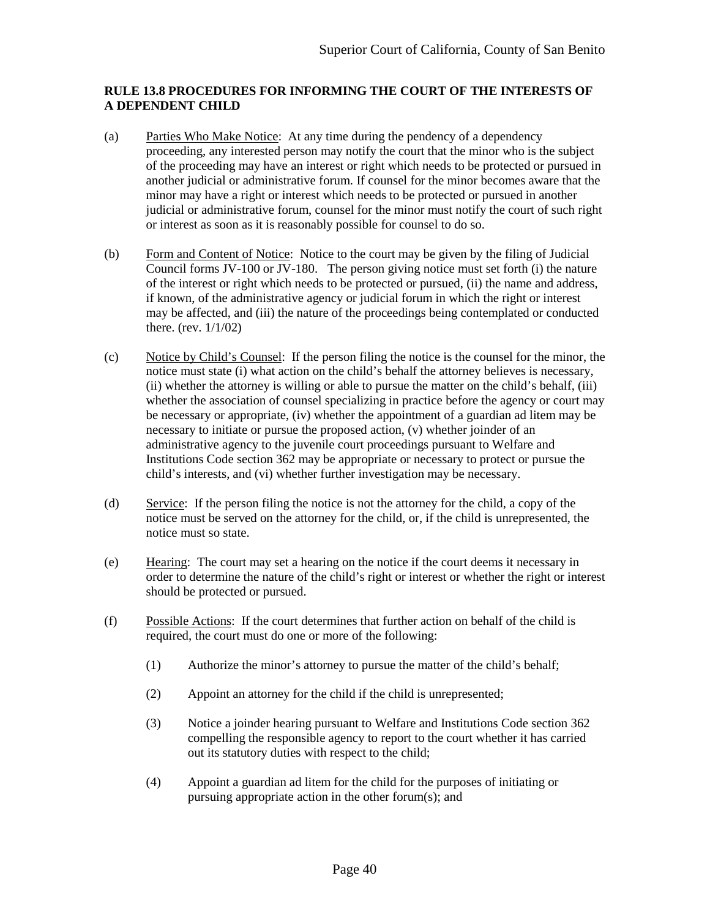## <span id="page-42-0"></span>**RULE 13.8 PROCEDURES FOR INFORMING THE COURT OF THE INTERESTS OF A DEPENDENT CHILD**

- (a) Parties Who Make Notice: At any time during the pendency of a dependency proceeding, any interested person may notify the court that the minor who is the subject of the proceeding may have an interest or right which needs to be protected or pursued in another judicial or administrative forum. If counsel for the minor becomes aware that the minor may have a right or interest which needs to be protected or pursued in another judicial or administrative forum, counsel for the minor must notify the court of such right or interest as soon as it is reasonably possible for counsel to do so.
- (b) Form and Content of Notice: Notice to the court may be given by the filing of Judicial Council forms JV-100 or JV-180. The person giving notice must set forth (i) the nature of the interest or right which needs to be protected or pursued, (ii) the name and address, if known, of the administrative agency or judicial forum in which the right or interest may be affected, and (iii) the nature of the proceedings being contemplated or conducted there. (rev. 1/1/02)
- (c) Notice by Child's Counsel: If the person filing the notice is the counsel for the minor, the notice must state (i) what action on the child's behalf the attorney believes is necessary, (ii) whether the attorney is willing or able to pursue the matter on the child's behalf, (iii) whether the association of counsel specializing in practice before the agency or court may be necessary or appropriate, (iv) whether the appointment of a guardian ad litem may be necessary to initiate or pursue the proposed action, (v) whether joinder of an administrative agency to the juvenile court proceedings pursuant to Welfare and Institutions Code section 362 may be appropriate or necessary to protect or pursue the child's interests, and (vi) whether further investigation may be necessary.
- (d) Service: If the person filing the notice is not the attorney for the child, a copy of the notice must be served on the attorney for the child, or, if the child is unrepresented, the notice must so state.
- (e) Hearing: The court may set a hearing on the notice if the court deems it necessary in order to determine the nature of the child's right or interest or whether the right or interest should be protected or pursued.
- (f) Possible Actions: If the court determines that further action on behalf of the child is required, the court must do one or more of the following:
	- (1) Authorize the minor's attorney to pursue the matter of the child's behalf;
	- (2) Appoint an attorney for the child if the child is unrepresented;
	- (3) Notice a joinder hearing pursuant to Welfare and Institutions Code section 362 compelling the responsible agency to report to the court whether it has carried out its statutory duties with respect to the child;
	- (4) Appoint a guardian ad litem for the child for the purposes of initiating or pursuing appropriate action in the other forum(s); and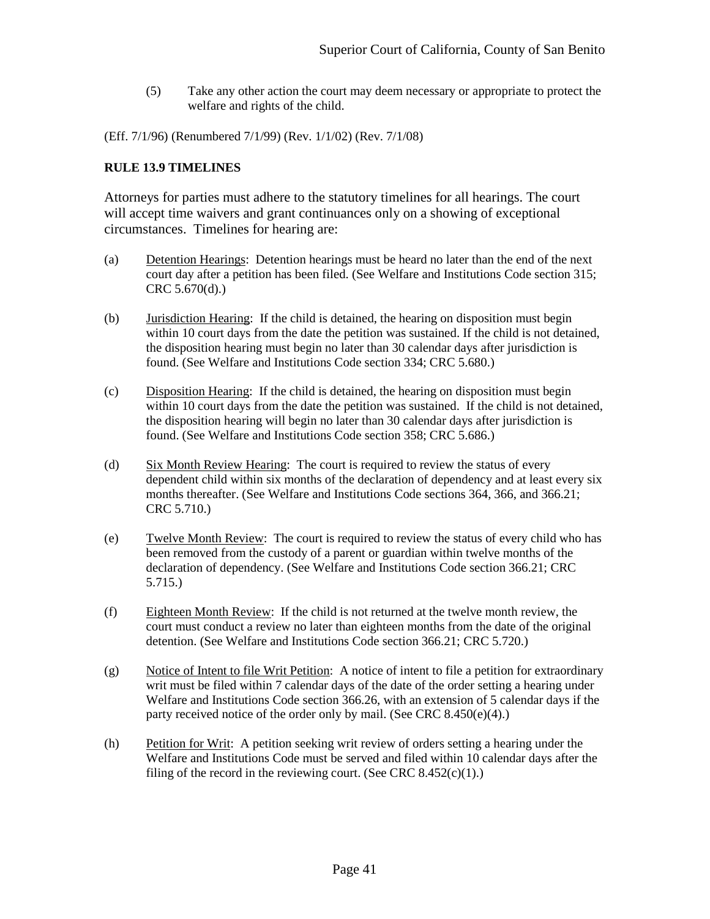(5) Take any other action the court may deem necessary or appropriate to protect the welfare and rights of the child.

(Eff. 7/1/96) (Renumbered 7/1/99) (Rev. 1/1/02) (Rev. 7/1/08)

## <span id="page-43-0"></span>**RULE 13.9 TIMELINES**

Attorneys for parties must adhere to the statutory timelines for all hearings. The court will accept time waivers and grant continuances only on a showing of exceptional circumstances. Timelines for hearing are:

- (a) Detention Hearings: Detention hearings must be heard no later than the end of the next court day after a petition has been filed. (See Welfare and Institutions Code section 315; CRC 5.670(d).)
- (b) Jurisdiction Hearing: If the child is detained, the hearing on disposition must begin within 10 court days from the date the petition was sustained. If the child is not detained, the disposition hearing must begin no later than 30 calendar days after jurisdiction is found. (See Welfare and Institutions Code section 334; CRC 5.680.)
- (c) Disposition Hearing: If the child is detained, the hearing on disposition must begin within 10 court days from the date the petition was sustained. If the child is not detained, the disposition hearing will begin no later than 30 calendar days after jurisdiction is found. (See Welfare and Institutions Code section 358; CRC 5.686.)
- (d) Six Month Review Hearing: The court is required to review the status of every dependent child within six months of the declaration of dependency and at least every six months thereafter. (See Welfare and Institutions Code sections 364, 366, and 366.21; CRC 5.710.)
- (e) Twelve Month Review: The court is required to review the status of every child who has been removed from the custody of a parent or guardian within twelve months of the declaration of dependency. (See Welfare and Institutions Code section 366.21; CRC 5.715.)
- (f) Eighteen Month Review: If the child is not returned at the twelve month review, the court must conduct a review no later than eighteen months from the date of the original detention. (See Welfare and Institutions Code section 366.21; CRC 5.720.)
- (g) Notice of Intent to file Writ Petition: A notice of intent to file a petition for extraordinary writ must be filed within 7 calendar days of the date of the order setting a hearing under Welfare and Institutions Code section 366.26, with an extension of 5 calendar days if the party received notice of the order only by mail. (See CRC 8.450(e)(4).)
- (h) Petition for Writ: A petition seeking writ review of orders setting a hearing under the Welfare and Institutions Code must be served and filed within 10 calendar days after the filing of the record in the reviewing court. (See CRC  $8.452(c)(1)$ .)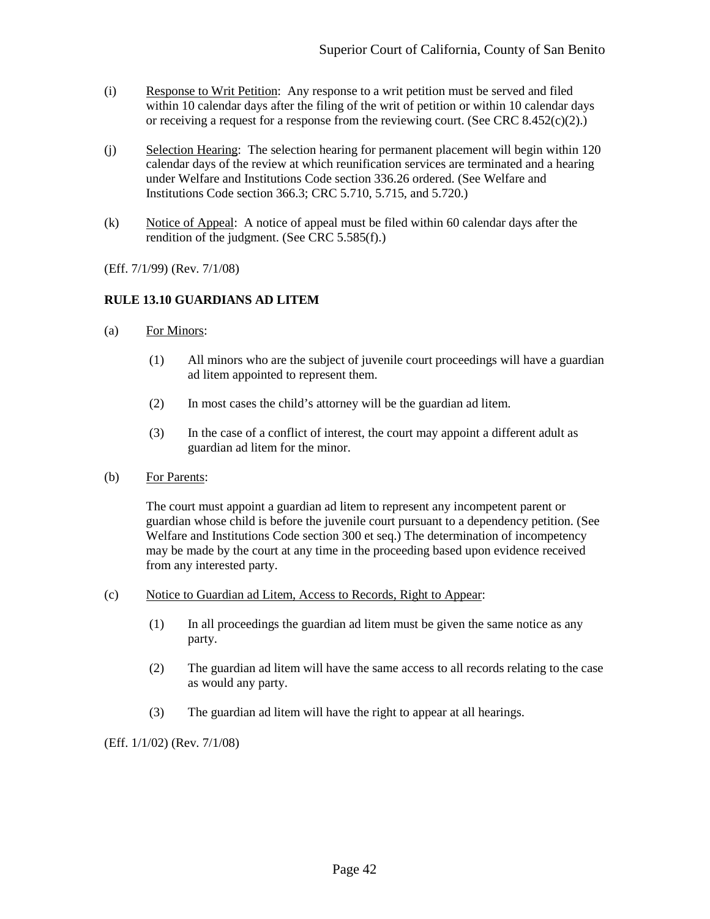- (i) Response to Writ Petition: Any response to a writ petition must be served and filed within 10 calendar days after the filing of the writ of petition or within 10 calendar days or receiving a request for a response from the reviewing court. (See CRC 8.452 $(c)(2)$ .)
- (j) Selection Hearing: The selection hearing for permanent placement will begin within 120 calendar days of the review at which reunification services are terminated and a hearing under Welfare and Institutions Code section 336.26 ordered. (See Welfare and Institutions Code section 366.3; CRC 5.710, 5.715, and 5.720.)
- (k) Notice of Appeal: A notice of appeal must be filed within 60 calendar days after the rendition of the judgment. (See CRC 5.585(f).)

(Eff. 7/1/99) (Rev. 7/1/08)

## <span id="page-44-0"></span>**RULE 13.10 GUARDIANS AD LITEM**

- (a) For Minors:
	- (1) All minors who are the subject of juvenile court proceedings will have a guardian ad litem appointed to represent them.
	- (2) In most cases the child's attorney will be the guardian ad litem.
	- (3) In the case of a conflict of interest, the court may appoint a different adult as guardian ad litem for the minor.
- (b) For Parents:

The court must appoint a guardian ad litem to represent any incompetent parent or guardian whose child is before the juvenile court pursuant to a dependency petition. (See Welfare and Institutions Code section 300 et seq.) The determination of incompetency may be made by the court at any time in the proceeding based upon evidence received from any interested party.

- (c) Notice to Guardian ad Litem, Access to Records, Right to Appear:
	- (1) In all proceedings the guardian ad litem must be given the same notice as any party.
	- (2) The guardian ad litem will have the same access to all records relating to the case as would any party.
	- (3) The guardian ad litem will have the right to appear at all hearings.

(Eff. 1/1/02) (Rev. 7/1/08)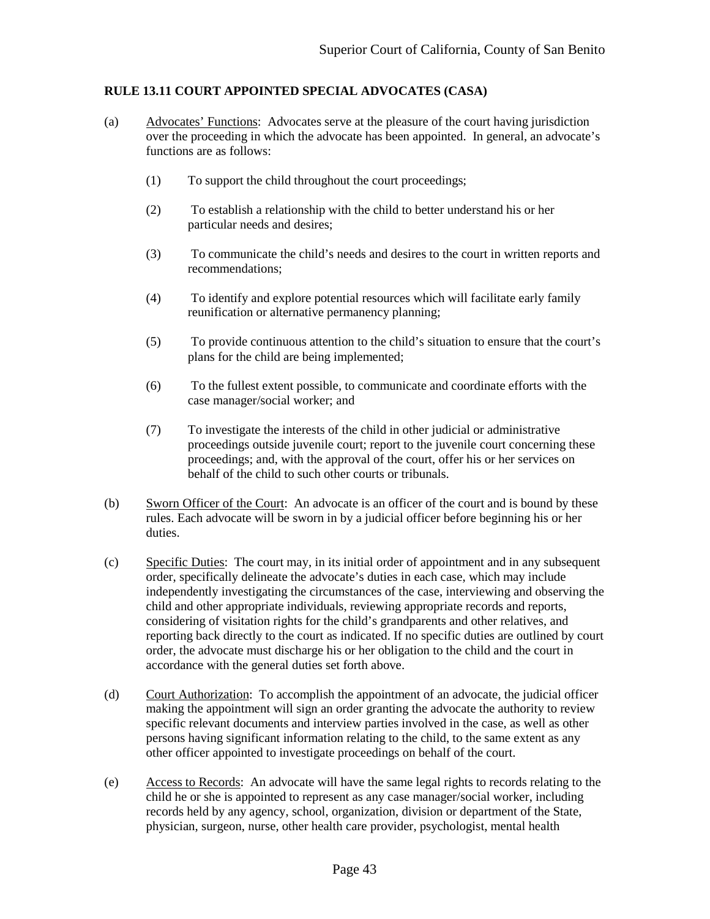## <span id="page-45-0"></span>**RULE 13.11 COURT APPOINTED SPECIAL ADVOCATES (CASA)**

- (a) Advocates' Functions: Advocates serve at the pleasure of the court having jurisdiction over the proceeding in which the advocate has been appointed. In general, an advocate's functions are as follows:
	- (1) To support the child throughout the court proceedings;
	- (2) To establish a relationship with the child to better understand his or her particular needs and desires;
	- (3) To communicate the child's needs and desires to the court in written reports and recommendations;
	- (4) To identify and explore potential resources which will facilitate early family reunification or alternative permanency planning;
	- (5) To provide continuous attention to the child's situation to ensure that the court's plans for the child are being implemented;
	- (6) To the fullest extent possible, to communicate and coordinate efforts with the case manager/social worker; and
	- (7) To investigate the interests of the child in other judicial or administrative proceedings outside juvenile court; report to the juvenile court concerning these proceedings; and, with the approval of the court, offer his or her services on behalf of the child to such other courts or tribunals.
- (b) Sworn Officer of the Court: An advocate is an officer of the court and is bound by these rules. Each advocate will be sworn in by a judicial officer before beginning his or her duties.
- (c) Specific Duties: The court may, in its initial order of appointment and in any subsequent order, specifically delineate the advocate's duties in each case, which may include independently investigating the circumstances of the case, interviewing and observing the child and other appropriate individuals, reviewing appropriate records and reports, considering of visitation rights for the child's grandparents and other relatives, and reporting back directly to the court as indicated. If no specific duties are outlined by court order, the advocate must discharge his or her obligation to the child and the court in accordance with the general duties set forth above.
- (d) Court Authorization: To accomplish the appointment of an advocate, the judicial officer making the appointment will sign an order granting the advocate the authority to review specific relevant documents and interview parties involved in the case, as well as other persons having significant information relating to the child, to the same extent as any other officer appointed to investigate proceedings on behalf of the court.
- (e) Access to Records: An advocate will have the same legal rights to records relating to the child he or she is appointed to represent as any case manager/social worker, including records held by any agency, school, organization, division or department of the State, physician, surgeon, nurse, other health care provider, psychologist, mental health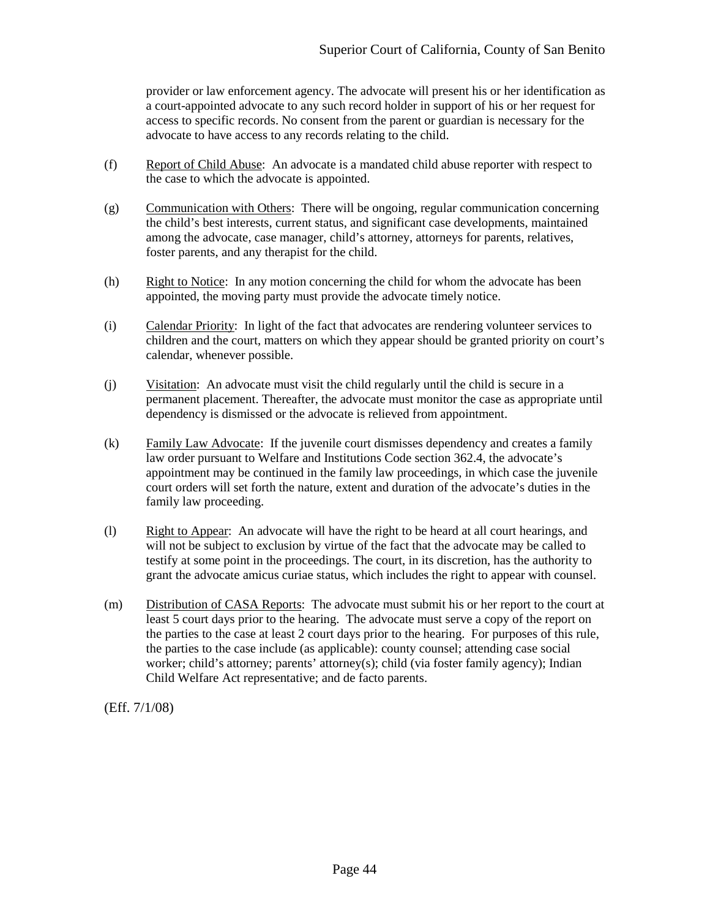provider or law enforcement agency. The advocate will present his or her identification as a court-appointed advocate to any such record holder in support of his or her request for access to specific records. No consent from the parent or guardian is necessary for the advocate to have access to any records relating to the child.

- (f) Report of Child Abuse: An advocate is a mandated child abuse reporter with respect to the case to which the advocate is appointed.
- (g) Communication with Others: There will be ongoing, regular communication concerning the child's best interests, current status, and significant case developments, maintained among the advocate, case manager, child's attorney, attorneys for parents, relatives, foster parents, and any therapist for the child.
- (h) Right to Notice: In any motion concerning the child for whom the advocate has been appointed, the moving party must provide the advocate timely notice.
- (i) Calendar Priority: In light of the fact that advocates are rendering volunteer services to children and the court, matters on which they appear should be granted priority on court's calendar, whenever possible.
- (j) Visitation: An advocate must visit the child regularly until the child is secure in a permanent placement. Thereafter, the advocate must monitor the case as appropriate until dependency is dismissed or the advocate is relieved from appointment.
- (k) Family Law Advocate: If the juvenile court dismisses dependency and creates a family law order pursuant to Welfare and Institutions Code section 362.4, the advocate's appointment may be continued in the family law proceedings, in which case the juvenile court orders will set forth the nature, extent and duration of the advocate's duties in the family law proceeding.
- (l) Right to Appear: An advocate will have the right to be heard at all court hearings, and will not be subject to exclusion by virtue of the fact that the advocate may be called to testify at some point in the proceedings. The court, in its discretion, has the authority to grant the advocate amicus curiae status, which includes the right to appear with counsel.
- (m) Distribution of CASA Reports: The advocate must submit his or her report to the court at least 5 court days prior to the hearing. The advocate must serve a copy of the report on the parties to the case at least 2 court days prior to the hearing. For purposes of this rule, the parties to the case include (as applicable): county counsel; attending case social worker; child's attorney; parents' attorney(s); child (via foster family agency); Indian Child Welfare Act representative; and de facto parents.

(Eff. 7/1/08)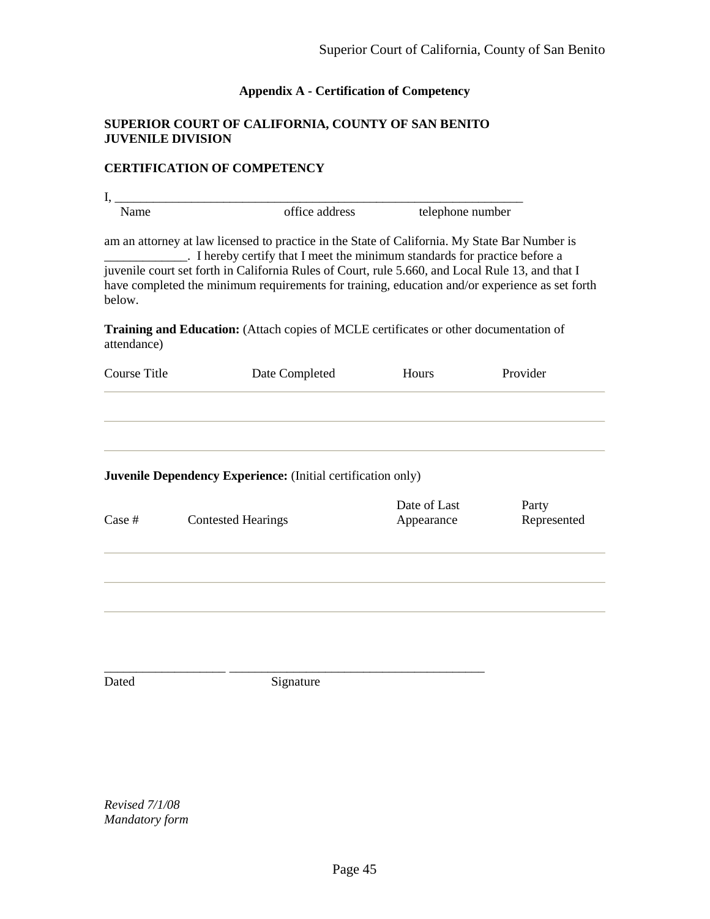# **Appendix A - Certification of Competency**

## <span id="page-47-0"></span>**SUPERIOR COURT OF CALIFORNIA, COUNTY OF SAN BENITO JUVENILE DIVISION**

# **CERTIFICATION OF COMPETENCY**

| I,                                                                                                                                                                                                                                                                                                                                                                                          |                                                                                              |                |                  |             |  |  |
|---------------------------------------------------------------------------------------------------------------------------------------------------------------------------------------------------------------------------------------------------------------------------------------------------------------------------------------------------------------------------------------------|----------------------------------------------------------------------------------------------|----------------|------------------|-------------|--|--|
| Name                                                                                                                                                                                                                                                                                                                                                                                        |                                                                                              | office address | telephone number |             |  |  |
| am an attorney at law licensed to practice in the State of California. My State Bar Number is<br>. I hereby certify that I meet the minimum standards for practice before a<br>juvenile court set forth in California Rules of Court, rule 5.660, and Local Rule 13, and that I<br>have completed the minimum requirements for training, education and/or experience as set forth<br>below. |                                                                                              |                |                  |             |  |  |
| attendance)                                                                                                                                                                                                                                                                                                                                                                                 | <b>Training and Education:</b> (Attach copies of MCLE certificates or other documentation of |                |                  |             |  |  |
| <b>Course Title</b>                                                                                                                                                                                                                                                                                                                                                                         | Date Completed                                                                               |                | Hours            | Provider    |  |  |
|                                                                                                                                                                                                                                                                                                                                                                                             | <b>Juvenile Dependency Experience:</b> (Initial certification only)                          |                |                  |             |  |  |
|                                                                                                                                                                                                                                                                                                                                                                                             |                                                                                              |                | Date of Last     | Party       |  |  |
| Case #                                                                                                                                                                                                                                                                                                                                                                                      | <b>Contested Hearings</b>                                                                    |                | Appearance       | Represented |  |  |
|                                                                                                                                                                                                                                                                                                                                                                                             |                                                                                              |                |                  |             |  |  |
|                                                                                                                                                                                                                                                                                                                                                                                             |                                                                                              |                |                  |             |  |  |
|                                                                                                                                                                                                                                                                                                                                                                                             |                                                                                              |                |                  |             |  |  |

\_\_\_\_\_\_\_\_\_\_\_\_\_\_\_\_\_\_\_ \_\_\_\_\_\_\_\_\_\_\_\_\_\_\_\_\_\_\_\_\_\_\_\_\_\_\_\_\_\_\_\_\_\_\_\_\_\_\_\_ Dated Signature

*Revised 7/1/08 Mandatory form*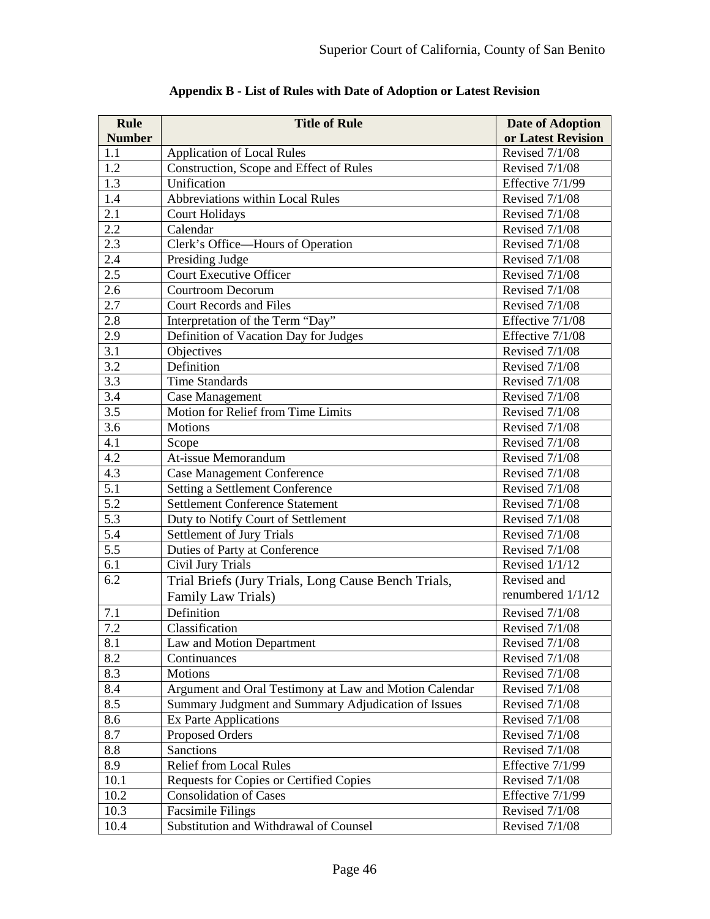<span id="page-48-0"></span>

| <b>Rule</b>      | <b>Title of Rule</b>                                   | <b>Date of Adoption</b> |
|------------------|--------------------------------------------------------|-------------------------|
| <b>Number</b>    |                                                        | or Latest Revision      |
| 1.1              | <b>Application of Local Rules</b>                      | <b>Revised 7/1/08</b>   |
| 1.2              | Construction, Scope and Effect of Rules                | <b>Revised 7/1/08</b>   |
| 1.3              | Unification                                            | Effective 7/1/99        |
| 1.4              | <b>Abbreviations within Local Rules</b>                | <b>Revised 7/1/08</b>   |
| 2.1              | <b>Court Holidays</b>                                  | <b>Revised 7/1/08</b>   |
| 2.2              | Calendar                                               | <b>Revised 7/1/08</b>   |
| 2.3              | Clerk's Office—Hours of Operation                      | <b>Revised 7/1/08</b>   |
| 2.4              | Presiding Judge                                        | <b>Revised 7/1/08</b>   |
| 2.5              | <b>Court Executive Officer</b>                         | Revised 7/1/08          |
| 2.6              | Courtroom Decorum                                      | Revised 7/1/08          |
| 2.7              | <b>Court Records and Files</b>                         | Revised 7/1/08          |
| 2.8              | Interpretation of the Term "Day"                       | Effective 7/1/08        |
| $2.\overline{9}$ | Definition of Vacation Day for Judges                  | Effective 7/1/08        |
| 3.1              | Objectives                                             | Revised 7/1/08          |
| 3.2              | Definition                                             | <b>Revised 7/1/08</b>   |
| 3.3              | <b>Time Standards</b>                                  | Revised 7/1/08          |
| 3.4              | <b>Case Management</b>                                 | <b>Revised 7/1/08</b>   |
| 3.5              | Motion for Relief from Time Limits                     | <b>Revised 7/1/08</b>   |
| 3.6              | <b>Motions</b>                                         | Revised 7/1/08          |
| 4.1              | Scope                                                  | Revised 7/1/08          |
| 4.2              | At-issue Memorandum                                    | Revised 7/1/08          |
| 4.3              | <b>Case Management Conference</b>                      | <b>Revised 7/1/08</b>   |
| $\overline{5.1}$ | Setting a Settlement Conference                        | Revised 7/1/08          |
| 5.2              | <b>Settlement Conference Statement</b>                 | <b>Revised 7/1/08</b>   |
| 5.3              | Duty to Notify Court of Settlement                     | Revised 7/1/08          |
| 5.4              | Settlement of Jury Trials                              | Revised 7/1/08          |
| 5.5              | Duties of Party at Conference                          | <b>Revised 7/1/08</b>   |
| 6.1              | Civil Jury Trials                                      | Revised 1/1/12          |
| 6.2              | Trial Briefs (Jury Trials, Long Cause Bench Trials,    | Revised and             |
|                  | Family Law Trials)                                     | renumbered 1/1/12       |
| 7.1              | Definition                                             | <b>Revised 7/1/08</b>   |
| 7.2              | Classification                                         | <b>Revised 7/1/08</b>   |
| 8.1              | Law and Motion Department                              | Revised 7/1/08          |
| 8.2              | Continuances                                           | Revised 7/1/08          |
| 8.3              | Motions                                                | Revised 7/1/08          |
| 8.4              | Argument and Oral Testimony at Law and Motion Calendar | Revised 7/1/08          |
| 8.5              | Summary Judgment and Summary Adjudication of Issues    | Revised 7/1/08          |
| 8.6              | Ex Parte Applications                                  | Revised 7/1/08          |
| 8.7              | Proposed Orders                                        | Revised 7/1/08          |
| 8.8              | <b>Sanctions</b>                                       | Revised 7/1/08          |
| 8.9              | <b>Relief from Local Rules</b>                         | Effective 7/1/99        |
| 10.1             | Requests for Copies or Certified Copies                | Revised 7/1/08          |
| 10.2             | <b>Consolidation of Cases</b>                          | Effective 7/1/99        |
| 10.3             | <b>Facsimile Filings</b>                               | Revised 7/1/08          |
| 10.4             | Substitution and Withdrawal of Counsel                 | Revised 7/1/08          |

**Appendix B - List of Rules with Date of Adoption or Latest Revision**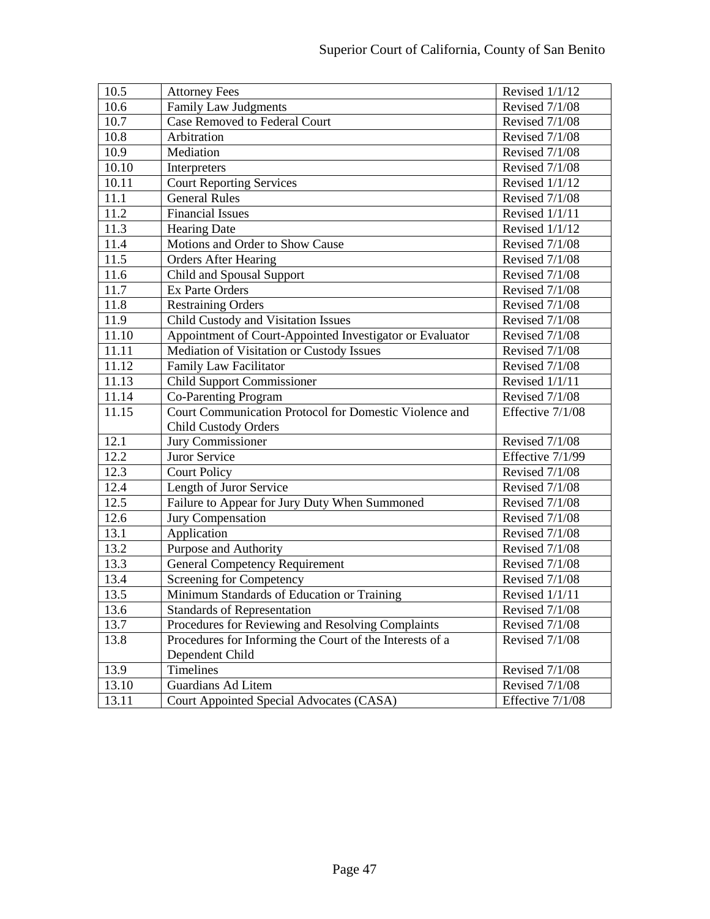| 10.5  | <b>Attorney Fees</b>                                     | Revised 1/1/12   |
|-------|----------------------------------------------------------|------------------|
| 10.6  | <b>Family Law Judgments</b>                              | Revised 7/1/08   |
| 10.7  | <b>Case Removed to Federal Court</b>                     | Revised 7/1/08   |
| 10.8  | Arbitration                                              | Revised 7/1/08   |
| 10.9  | Mediation                                                | Revised 7/1/08   |
| 10.10 | Interpreters                                             | Revised 7/1/08   |
| 10.11 | <b>Court Reporting Services</b>                          | Revised 1/1/12   |
| 11.1  | <b>General Rules</b>                                     | Revised 7/1/08   |
| 11.2  | <b>Financial Issues</b>                                  | Revised 1/1/11   |
| 11.3  | <b>Hearing Date</b>                                      | Revised $1/1/12$ |
| 11.4  | Motions and Order to Show Cause                          | Revised 7/1/08   |
| 11.5  | <b>Orders After Hearing</b>                              | Revised 7/1/08   |
| 11.6  | Child and Spousal Support                                | Revised 7/1/08   |
| 11.7  | <b>Ex Parte Orders</b>                                   | Revised 7/1/08   |
| 11.8  | <b>Restraining Orders</b>                                | Revised 7/1/08   |
| 11.9  | Child Custody and Visitation Issues                      | Revised 7/1/08   |
| 11.10 | Appointment of Court-Appointed Investigator or Evaluator | Revised 7/1/08   |
| 11.11 | Mediation of Visitation or Custody Issues                | Revised 7/1/08   |
| 11.12 | <b>Family Law Facilitator</b>                            | Revised 7/1/08   |
| 11.13 | <b>Child Support Commissioner</b>                        | Revised 1/1/11   |
| 11.14 | Co-Parenting Program                                     | Revised 7/1/08   |
| 11.15 | Court Communication Protocol for Domestic Violence and   | Effective 7/1/08 |
|       | <b>Child Custody Orders</b>                              |                  |
| 12.1  | Jury Commissioner                                        | Revised 7/1/08   |
| 12.2  | Juror Service                                            | Effective 7/1/99 |
| 12.3  | <b>Court Policy</b>                                      | Revised 7/1/08   |
| 12.4  | Length of Juror Service                                  | Revised 7/1/08   |
| 12.5  | Failure to Appear for Jury Duty When Summoned            | Revised 7/1/08   |
| 12.6  | Jury Compensation                                        | Revised 7/1/08   |
| 13.1  | Application                                              | Revised 7/1/08   |
| 13.2  | Purpose and Authority                                    | Revised 7/1/08   |
| 13.3  | <b>General Competency Requirement</b>                    | Revised 7/1/08   |
| 13.4  | Screening for Competency                                 | Revised 7/1/08   |
| 13.5  | Minimum Standards of Education or Training               | Revised $1/1/11$ |
| 13.6  | <b>Standards of Representation</b>                       | Revised 7/1/08   |
| 13.7  | Procedures for Reviewing and Resolving Complaints        | Revised 7/1/08   |
| 13.8  | Procedures for Informing the Court of the Interests of a | Revised 7/1/08   |
|       | Dependent Child                                          |                  |
| 13.9  | Timelines                                                | Revised 7/1/08   |
| 13.10 | <b>Guardians Ad Litem</b>                                | Revised 7/1/08   |
| 13.11 | Court Appointed Special Advocates (CASA)                 | Effective 7/1/08 |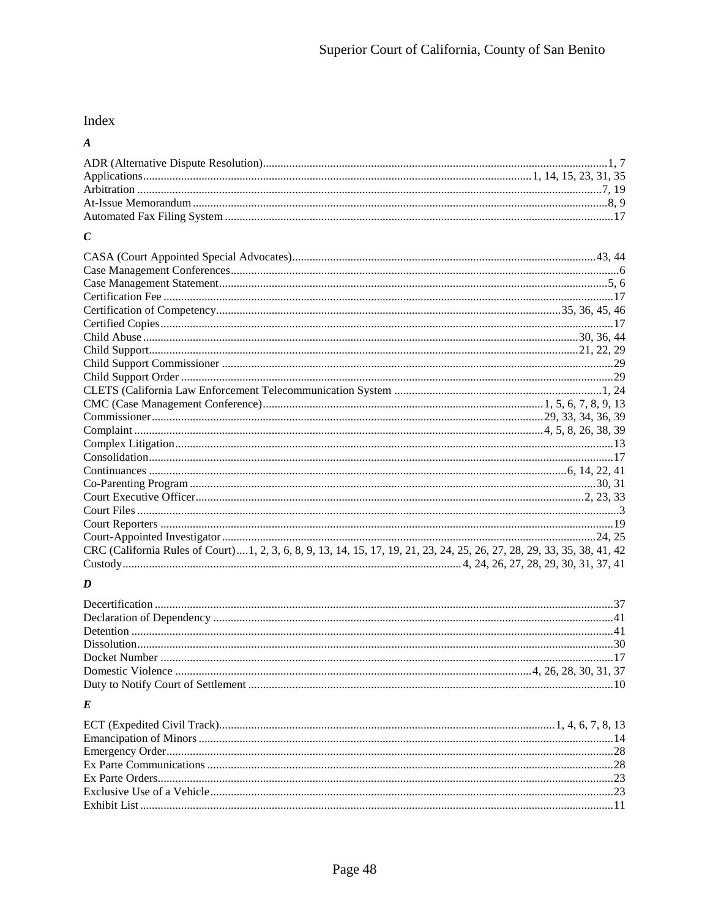# Index

# $\boldsymbol{A}$

# $\boldsymbol{C}$

| CRC (California Rules of Court)  1, 2, 3, 6, 8, 9, 13, 14, 15, 17, 19, 21, 23, 24, 25, 26, 27, 28, 29, 33, 35, 38, 41, 42 |  |
|---------------------------------------------------------------------------------------------------------------------------|--|
|                                                                                                                           |  |

# $\boldsymbol{D}$

# $\boldsymbol{E}$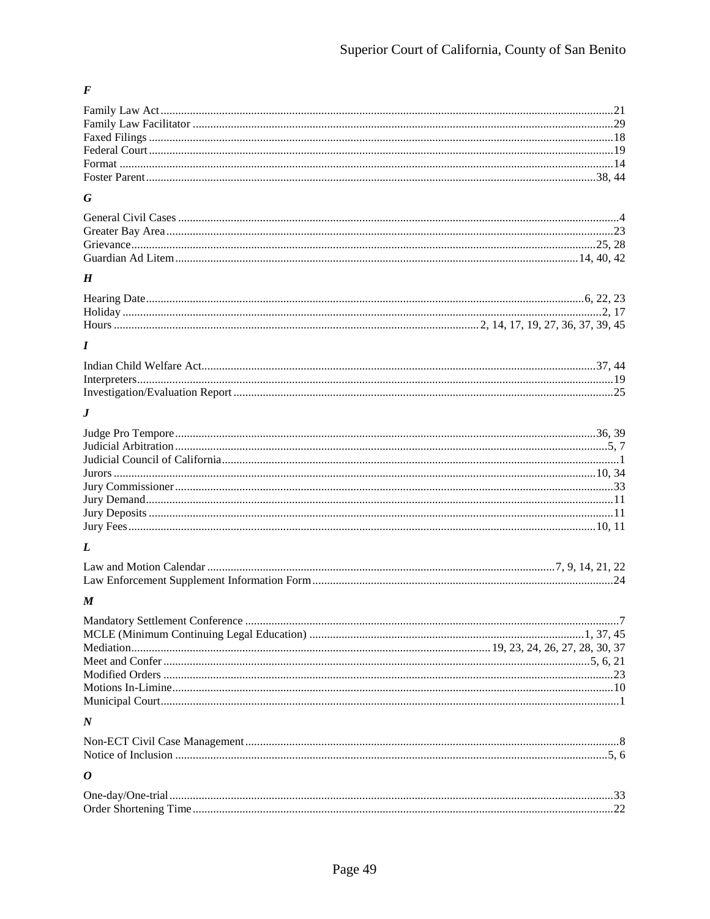## $\boldsymbol{F}$

## $\boldsymbol{G}$

#### $\pmb{H}$

## $\boldsymbol{I}$

#### $\bm{J}$

## $\boldsymbol{L}$

## $\pmb{M}$

| $\overline{N}$ |  |
|----------------|--|
|                |  |

# $\boldsymbol{o}$